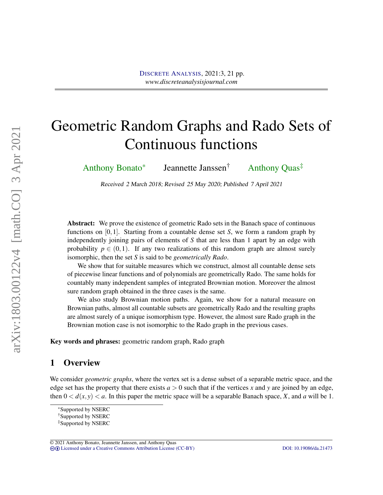# Geometric Random Graphs and Rado Sets of Continuous functions

[Anthony Bonato](#page-20-0)\* Jeannette Janssen† Anthony Quas‡

Received 2 March 2018; Revised 25 May 2020; Published 7 April 2021

Abstract: We prove the existence of geometric Rado sets in the Banach space of continuous functions on [0,1]. Starting from a countable dense set *S*, we form a random graph by independently joining pairs of elements of *S* that are less than 1 apart by an edge with probability  $p \in (0,1)$ . If any two realizations of this random graph are almost surely isomorphic, then the set *S* is said to be *geometrically Rado*.

We show that for suitable measures which we construct, almost all countable dense sets of piecewise linear functions and of polynomials are geometrically Rado. The same holds for countably many independent samples of integrated Brownian motion. Moreover the almost sure random graph obtained in the three cases is the same.

We also study Brownian motion paths. Again, we show for a natural measure on Brownian paths, almost all countable subsets are geometrically Rado and the resulting graphs are almost surely of a unique isomorphism type. However, the almost sure Rado graph in the Brownian motion case is not isomorphic to the Rado graph in the previous cases.

Key words and phrases: geometric random graph, Rado graph

# 1 Overview

We consider *geometric graphs*, where the vertex set is a dense subset of a separable metric space, and the edge set has the property that there exists  $a > 0$  such that if the vertices x and y are joined by an edge, then  $0 < d(x, y) < a$ . In this paper the metric space will be a separable Banach space, *X*, and *a* will be 1.

© 2021 Anthony Bonato, Jeannette Janssen, and Anthony Quas cb [Licensed under a Creative Commons Attribution License \(CC-BY\)](http://creativecommons.org/licenses/by/3.0/) [DOI: 10.19086/da.21473](http://dx.doi.org/10.19086/da.21473)

arXiv:1803.00122v4 [math.CO] 3 Apr 2021 arXiv:1803.00122v4 [math.CO] 3 Apr 2021

<sup>\*</sup>Supported by NSERC

<sup>†</sup>Supported by NSERC

<sup>‡</sup>Supported by NSERC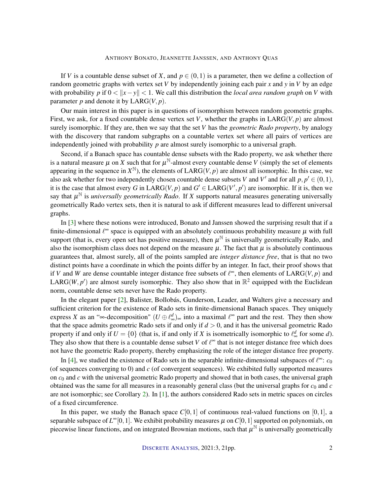<span id="page-1-0"></span>If *V* is a countable dense subset of *X*, and  $p \in (0,1)$  is a parameter, then we define a collection of random geometric graphs with vertex set *V* by independently joining each pair *x* and *y* in *V* by an edge with probability *p* if  $0 < |x - y| < 1$ . We call this distribution the *local area random graph* on *V* with parameter  $p$  and denote it by  $LARG(V, p)$ .

Our main interest in this paper is in questions of isomorphism between random geometric graphs. First, we ask, for a fixed countable dense vertex set *V*, whether the graphs in  $LARG(V, p)$  are almost surely isomorphic. If they are, then we say that the set *V* has the *geometric Rado property*, by analogy with the discovery that random subgraphs on a countable vertex set where all pairs of vertices are independently joined with probability *p* are almost surely isomorphic to a universal graph.

Second, if a Banach space has countable dense subsets with the Rado property, we ask whether there is a natural measure  $\mu$  on  $\hat{X}$  such that for  $\mu^{\mathbb{N}}$ -almost every countable dense  $\hat{V}$  (simply the set of elements appearing in the sequence in  $X^{\mathbb{N}}$ ), the elements of LARG(*V*, *p*) are almost all isomorphic. In this case, we also ask whether for two independently chosen countable dense subsets *V* and *V'* and for all  $p, p' \in (0, 1)$ , it is the case that almost every *G* in  $\text{LARG}(V, p)$  and  $G' \in \text{LARG}(V', p')$  are isomorphic. If it is, then we say that  $\mu^{\mathbb{N}}$  is *universally geometrically Rado*. If *X* supports natural measures generating universally geometrically Rado vertex sets, then it is natural to ask if different measures lead to different universal graphs.

In [\[3\]](#page-19-0) where these notions were introduced, Bonato and Janssen showed the surprising result that if a finite-dimensional  $\ell^{\infty}$  space is equipped with an absolutely continuous probability measure  $\mu$  with full support (that is, every open set has positive measure), then  $\mu^{\mathbb{N}}$  is universally geometrically Rado, and also the isomorphism class does not depend on the measure  $\mu$ . The fact that  $\mu$  is absolutely continuous guarantees that, almost surely, all of the points sampled are *integer distance free*, that is that no two distinct points have a coordinate in which the points differ by an integer. In fact, their proof shows that if *V* and *W* are dense countable integer distance free subsets of  $\ell^{\infty}$ , then elements of LARG(*V*, *p*) and LARG(*W*, *p*<sup> $\prime$ </sup>) are almost surely isomorphic. They also show that in  $\mathbb{R}^2$  equipped with the Euclidean norm, countable dense sets never have the Rado property.

In the elegant paper [\[2\]](#page-19-1), Balister, Bollobás, Gunderson, Leader, and Walters give a necessary and sufficient criterion for the existence of Rado sets in finite-dimensional Banach spaces. They uniquely express *X* as an "∞-decomposition"  $(U \oplus \ell_{\infty}^d)_{\infty}$  into a maximal  $\ell^{\infty}$  part and the rest. They then show that the space admits geometric Rado sets if and only if  $d > 0$ , and it has the universal geometric Rado property if and only if  $U = \{0\}$  (that is, if and only if *X* is isometrically isomorphic to  $\ell_{\infty}^d$  for some *d*). They also show that there is a countable dense subset *V* of  $\ell^{\infty}$  that is not integer distance free which does not have the geometric Rado property, thereby emphasizing the role of the integer distance free property.

In [\[4\]](#page-19-2), we studied the existence of Rado sets in the separable infinite-dimensional subspaces of  $\ell^{\infty}$ :  $c_0$ (of sequences converging to 0) and *c* (of convergent sequences). We exhibited fully supported measures on  $c_0$  and  $c$  with the universal geometric Rado property and showed that in both cases, the universal graph obtained was the same for all measures in a reasonably general class (but the universal graphs for  $c_0$  and  $c$ are not isomorphic; see Corollary [2\)](#page-3-0). In [\[1\]](#page-19-3), the authors considered Rado sets in metric spaces on circles of a fixed circumference.

In this paper, we study the Banach space  $C[0,1]$  of continuous real-valued functions on [0,1], a separable subspace of  $L^{\infty}[0,1].$  We exhibit probability measures  $\mu$  on  $C[0,1]$  supported on polynomials, on piecewise linear functions, and on integrated Brownian motions, such that  $\mu^{\mathbb{N}}$  is universally geometrically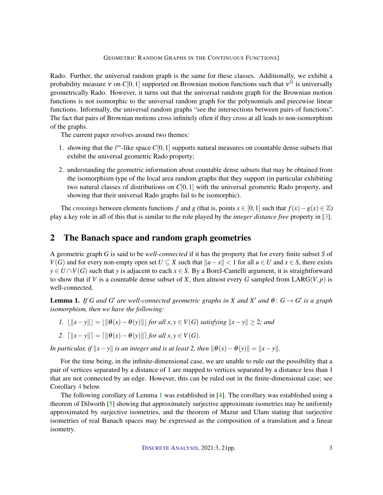<span id="page-2-1"></span>Rado. Further, the universal random graph is the same for these classes. Additionally, we exhibit a probability measure v on  $C[0,1]$  supported on Brownian motion functions such that  $v^{\tilde{N}}$  is universally geometrically Rado. However, it turns out that the universal random graph for the Brownian motion functions is not isomorphic to the universal random graph for the polynomials and piecewise linear functions. Informally, the universal random graphs "see the intersections between pairs of functions". The fact that pairs of Brownian motions cross infinitely often if they cross at all leads to non-isomorphism of the graphs.

The current paper revolves around two themes:

- 1. showing that the  $\ell^{\infty}$ -like space  $C[0,1]$  supports natural measures on countable dense subsets that exhibit the universal geometric Rado property;
- 2. understanding the geometric information about countable dense subsets that may be obtained from the isomorphism type of the local area random graphs that they support (in particular exhibiting two natural classes of distributions on *C*[0,1] with the universal geometric Rado property, and showing that their universal Rado graphs fail to be isomorphic).

The *crossings* between elements functions *f* and *g* (that is, points  $x \in [0,1]$  such that  $f(x) - g(x) \in \mathbb{Z}$ ) play a key role in all of this that is similar to the role played by the *integer distance free* property in [\[3\]](#page-19-0).

# 2 The Banach space and random graph geometries

A geometric graph *G* is said to be *well-connected* if it has the property that for every finite subset *S* of *V*(*G*) and for every non-empty open set *U* ⊆ *X* such that  $||u-x|| < 1$  for all  $u \in U$  and  $x \in S$ , there exists  $y \in U \cap V(G)$  such that *y* is adjacent to each  $x \in S$ . By a Borel-Cantelli argument, it is straightforward to show that if *V* is a countable dense subset of *X*, then almost every *G* sampled from LARG(*V*, *p*) is well-connected.

<span id="page-2-0"></span>**Lemma 1.** If G and G' are well-connected geometric graphs in X and X' and  $\theta$ :  $G \rightarrow G'$  is a graph *isomorphism, then we have the following:*

*1.*  $||x-y|| = ||\theta(x) - \theta(y)||$  *for all x*, *y* ∈ *V*(*G*) *satisfying*  $||x-y|| \ge 2$ *; and* 

2. 
$$
\|\|x - y\|\| = \|\|\theta(x) - \theta(y)\|\|
$$
 for all  $x, y \in V(G)$ 

*In particular, if*  $||x - y||$  *is an integer and is at least 2, then*  $||\theta(x) - \theta(y)|| = ||x - y||$ *.* 

For the time being, in the infinite-dimensional case, we are unable to rule out the possibility that a pair of vertices separated by a distance of 1 are mapped to vertices separated by a distance less than 1 that are not connected by an edge. However, this can be ruled out in the finite-dimensional case; see Corollary [4](#page-4-0) below.

The following corollary of Lemma [1](#page-2-0) was established in [\[4\]](#page-19-2). The corollary was established using a theorem of Dilworth [\[5\]](#page-19-4) showing that approximately surjective approximate isometries may be uniformly approximated by surjective isometries, and the theorem of Mazur and Ulam stating that surjective isometries of real Banach spaces may be expressed as the composition of a translation and a linear isometry.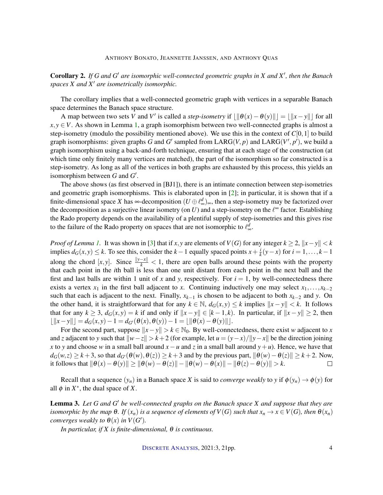<span id="page-3-2"></span><span id="page-3-0"></span>Corollary 2. *If G and G* <sup>0</sup> *are isomorphic well-connected geometric graphs in X and X* 0 *, then the Banach spaces X and X*<sup>0</sup> *are isometrically isomorphic.*

The corollary implies that a well-connected geometric graph with vertices in a separable Banach space determines the Banach space structure.

A map between two sets *V* and *V*' is called a *step-isometry* if  $\lfloor ||\theta(x) - \theta(y)|| \rfloor = \lfloor ||x - y|| \rfloor$  for all  $x, y \in V$ . As shown in Lemma [1,](#page-2-0) a graph isomorphism between two well-connected graphs is almost a step-isometry (modulo the possibility mentioned above). We use this in the context of *C*[0,1] to build graph isomorphisms: given graphs *G* and *G'* sampled from  $LARG(V, p)$  and  $LARG(V', p')$ , we build a graph isomorphism using a back-and-forth technique, ensuring that at each stage of the construction (at which time only finitely many vertices are matched), the part of the isomorphism so far constructed is a step-isometry. As long as all of the vertices in both graphs are exhausted by this process, this yields an isomorphism between  $G$  and  $G'$ .

The above shows (as first observed in [BJ1]), there is an intimate connection between step-isometries and geometric graph isomorphisms. This is elaborated upon in  $[2]$ ; in particular, it is shown that if a finite-dimensional space *X* has ∞-decomposition ( $U \oplus \ell_{\infty}^d$ )<sub>∞</sub>, then a step-isometry may be factorized over the decomposition as a surjective linear isometry (on  $U$ ) and a step-isometry on the  $\ell^{\infty}$  factor. Establishing the Rado property depends on the availability of a plentiful supply of step-isometries and this gives rise to the failure of the Rado property on spaces that are not isomorphic to  $\ell_{\infty}^d$ .

*Proof of Lemma [1.](#page-2-0)* It was shown in [\[3\]](#page-19-0) that if *x*, *y* are elements of  $V(G)$  for any integer  $k \geq 2$ ,  $||x-y|| < k$ implies  $d_G(x, y)$  ≤ *k*. To see this, consider the *k* − 1 equally spaced points  $x + \frac{i}{k}$  $\frac{i}{k}(y-x)$  for  $i = 1,...,k-1$ along the chord  $[x, y]$ . Since  $\frac{||y-x||}{k}$  < 1, there are open balls around these points with the property that each point in the *i*th ball is less than one unit distant from each point in the next ball and the first and last balls are within 1 unit of x and y, respectively. For  $i = 1$ , by well-connectedness there exists a vertex  $x_1$  in the first ball adjacent to *x*. Continuing inductively one may select  $x_1, \ldots, x_{k-2}$ such that each is adjacent to the next. Finally,  $x_{k-1}$  is chosen to be adjacent to both  $x_{k-2}$  and *y*. On the other hand, it is straightforward that for any  $k \in \mathbb{N}$ ,  $d_G(x, y) \leq k$  implies  $||x - y|| < k$ . It follows that for any  $k \geq 3$ ,  $d_G(x, y) = k$  if and only if  $||x - y|| \in [k-1, k)$ . In particular, if  $||x - y|| \geq 2$ , then  $|||x-y||| = d_G(x,y) - 1 = d_{G'}(\theta(x),\theta(y)) - 1 = ||\theta(x) - \theta(y)||.$ 

For the second part, suppose  $||x-y|| > k \in \mathbb{N}_0$ . By well-connectedness, there exist *w* adjacent to *x* and *z* adjacent to *y* such that  $\|w-z\| > k+2$  (for example, let  $u = (y-x)/\|y-x\|$  be the direction joining *x* to *y* and choose *w* in a small ball around  $x - u$  and *z* in a small ball around  $y + u$ ). Hence, we have that  $d_G(w, z) \ge k+3$ , so that  $d_{G'}(\theta(w), \theta(z)) \ge k+3$  and by the previous part,  $\|\theta(w) - \theta(z)\| \ge k+2$ . Now, it follows that  $\|\theta(x) - \theta(y)\| \ge \|\theta(w) - \theta(z)\| - \|\theta(w) - \theta(x)\| - \|\theta(z) - \theta(y)\| > k$ .  $\Box$ 

Recall that a sequence  $(y_n)$  in a Banach space *X* is said to *converge weakly* to *y* if  $\phi(y_n) \to \phi(y)$  for all  $\phi$  in  $X^*$ , the dual space of X.

<span id="page-3-1"></span>Lemma 3. *Let G and G* <sup>0</sup> *be well-connected graphs on the Banach space X and suppose that they are isomorphic by the map*  $\Theta$ *. If*  $(x_n)$  *is a sequence of elements of*  $V(G)$  *such that*  $x_n \to x \in V(G)$ *, then*  $\Theta(x_n)$ *converges weakly to*  $\theta(x)$  *in*  $V(G')$ *.* 

*In particular, if X is finite-dimensional,* θ *is continuous.*

DISCRETE A[NALYSIS](http://dx.doi.org/10.19086/da), 2021:3, 21pp. 4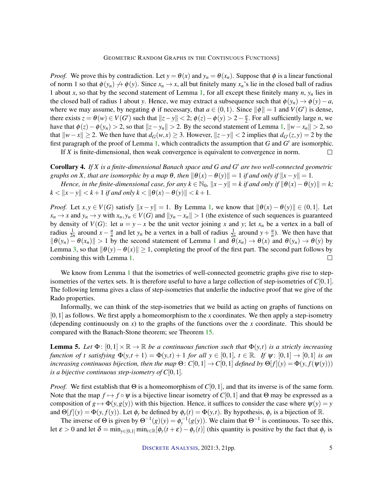*Proof.* We prove this by contradiction. Let  $y = \theta(x)$  and  $y_n = \theta(x_n)$ . Suppose that  $\phi$  is a linear functional of norm 1 so that  $\phi(y_n) \nrightarrow \phi(y)$ . Since  $x_n \rightarrow x$ , all but finitely many  $x_n$ 's lie in the closed ball of radius 1 about *x*, so that by the second statement of Lemma [1,](#page-2-0) for all except these finitely many  $n$ ,  $y_n$  lies in the closed ball of radius 1 about *y*. Hence, we may extract a subsequence such that  $\phi(y_n) \to \phi(y) - a$ , where we may assume, by negating  $\phi$  if necessary, that  $a \in (0,1)$ . Since  $\|\phi\| = 1$  and  $V(G')$  is dense, there exists  $z = \theta(w) \in V(G')$  such that  $||z - y|| < 2$ ;  $\phi(z) - \phi(y) > 2 - \frac{a}{2}$  $\frac{a}{2}$ . For all sufficiently large *n*, we have that  $\phi(z) - \phi(y_n) > 2$ , so that  $||z - y_n|| > 2$ . By the second statement of Lemma [1,](#page-2-0)  $||w - x_n|| > 2$ , so that  $||w−x|| ≥ 2$ . We then have that  $d_G(w, x) ≥ 3$ . However,  $||z−y|| < 2$  implies that  $d_{G'}(z, y) = 2$  by the first paragraph of the proof of Lemma [1,](#page-2-0) which contradicts the assumption that  $G$  and  $G'$  are isomorphic.

If *X* is finite-dimensional, then weak convergence is equivalent to convergence in norm.

<span id="page-4-0"></span>Corollary 4. *If X is a finite-dimensional Banach space and G and G* <sup>0</sup> *are two well-connected geometric graphs on X, that are isomorphic by a map*  $\theta$ *, then*  $\|\theta(x) - \theta(y)\| = 1$  *if and only if*  $\|x - y\| = 1$ *.* 

*Hence, in the finite-dimensional case, for any*  $k \in \mathbb{N}_0$ ,  $||x - y|| = k$  *if and only if*  $||\theta(x) - \theta(y)|| = k$ ;  $k < ||x - y|| < k + 1$  *if and only k* <  $||\theta(x) - \theta(y)|| < k + 1$ *.* 

*Proof.* Let  $x, y \in V(G)$  satisfy  $||x - y|| = 1$ . By Lemma [1,](#page-2-0) we know that  $||\theta(x) - \theta(y)|| \in (0, 1]$ . Let  $x_n \to x$  and  $y_n \to y$  with  $x_n, y_n \in V(G)$  and  $||y_n - x_n|| > 1$  (the existence of such sequences is guaranteed by density of *V*(*G*): let  $u = y - x$  be the unit vector joining *x* and *y*; let  $x_n$  be a vertex in a ball of radius  $\frac{1}{2n}$  around  $x - \frac{u}{n}$  $\frac{u}{n}$  and let *y<sub>n</sub>* be a vertex in a ball of radius  $\frac{1}{2n}$  around  $y + \frac{u}{n}$  $\frac{u}{n}$ ). We then have that  $\|\theta(y_n) - \theta(x_n)\| > 1$  $\|\theta(y_n) - \theta(x_n)\| > 1$  by the second statement of Lemma 1 and  $\theta(x_n) \to \theta(x)$  and  $\theta(y_n) \to \theta(y)$  by Lemma [3,](#page-3-1) so that  $\|\theta(y)-\theta(x)\|\geq 1$ , completing the proof of the first part. The second part follows by combining this with Lemma [1.](#page-2-0)  $\Box$ 

We know from Lemma [1](#page-2-0) that the isometries of well-connected geometric graphs give rise to stepisometries of the vertex sets. It is therefore useful to have a large collection of step-isometries of *C*[0,1]. The following lemma gives a class of step-isometries that underlie the inductive proof that we give of the Rado properties.

Informally, we can think of the step-isometries that we build as acting on graphs of functions on [0,1] as follows. We first apply a homeomorphism to the *x* coordinates. We then apply a step-isometry (depending continuously on *x*) to the graphs of the functions over the *x* coordinate. This should be compared with the Banach-Stone theorem; see Theorem [15.](#page-17-0)

<span id="page-4-1"></span>**Lemma 5.** Let  $\Phi$ :  $[0,1] \times \mathbb{R} \to \mathbb{R}$  be a continuous function such that  $\Phi(y,t)$  is a strictly increasing *function of t satisfying*  $\Phi(y,t+1) = \Phi(y,t) + 1$  *for all*  $y \in [0,1]$ ,  $t \in \mathbb{R}$ . If  $\psi: [0,1] \to [0,1]$  *is an increasing continuous bijection, then the map*  $\Theta$ *:*  $C[0,1] \rightarrow C[0,1]$  *<i>defined by*  $\Theta[f](y) = \Phi(y, f(\psi(y)))$ *is a bijective continuous step-isometry of C*[0, 1].

*Proof.* We first establish that Θ is a homeomorphism of *C*[0,1], and that its inverse is of the same form. Note that the map  $f \mapsto f \circ \psi$  is a bijective linear isometry of  $C[0,1]$  and that  $\Theta$  may be expressed as a composition of  $g \mapsto \Phi(y, g(y))$  with this bijection. Hence, it suffices to consider the case where  $\psi(y) = y$ and  $\Theta[f](y) = \Phi(y, f(y))$ . Let  $\phi_y$  be defined by  $\phi_y(t) = \Phi(y, t)$ . By hypothesis,  $\phi_y$  is a bijection of R.

The inverse of  $\Theta$  is given by  $\Theta^{-1}(g)(y) = \phi_y^{-1}(g(y))$ . We claim that  $\Theta^{-1}$  is continuous. To see this, let  $\varepsilon > 0$  and let  $\delta = \min_{y \in [0,1]} \min_{t \in \mathbb{R}} [\phi_y(t+\varepsilon) - \phi_y(t)]$  (this quantity is positive by the fact that  $\phi_y$  is

 $\Box$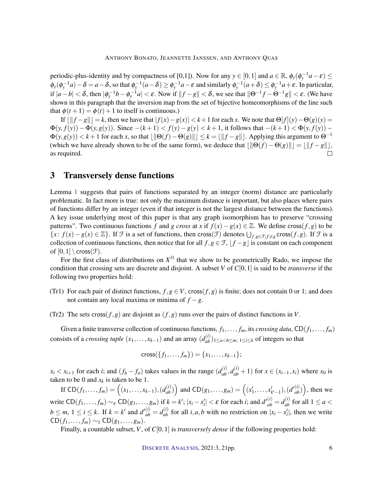periodic-plus-identity and by compactness of [0,1]). Now for any  $y \in [0,1]$  and  $a \in \mathbb{R}$ ,  $\phi_y(\phi_y^{-1}a - \varepsilon) \le$  $\phi_y(\phi_y^{-1}a) - \delta = a - \delta$ , so that  $\phi_y^{-1}(a - \delta) \ge \phi_y^{-1}a - \varepsilon$  and similarly  $\phi_y^{-1}(a + \delta) \le \phi_y^{-1}a + \varepsilon$ . In particular, if  $|a-b| < \delta$ , then  $|\phi_y^{-1}b - \phi_y^{-1}a| < \varepsilon$ . Now if  $||f-g|| < \delta$ , we see that  $||\Theta^{-1}f - \Theta^{-1}g|| < \varepsilon$ . (We have shown in this paragraph that the inversion map from the set of bijective homeomorphisms of the line such that  $\phi(t+1) = \phi(t) + 1$  to itself is continuous.)

If  $| \|f-g\| | = k$ , then we have that  $| f(x) - g(x)| < k+1$  for each *x*. We note that Θ[ $f$ ](*y*)−Θ(*g*)(*y*) =  $\Phi(y, f(y)) - \Phi(y, g(y))$ . Since  $-(k+1) < f(y) - g(y) < k+1$ , it follows that  $-(k+1) < \Phi(y, f(y))$  −  $\Phi(y, g(y)) < k+1$  for each *x*, so that  $\|\Theta(f) - \Theta(g)\| \leq k = \|\f - g\|$ . Applying this argument to  $\Theta^{-1}$ (which we have already shown to be of the same form), we deduce that  $\|\Theta(f) - \Theta(g)\| = \|\|f - g\|$ , as required.

# 3 Transversely dense functions

Lemma [1](#page-2-0) suggests that pairs of functions separated by an integer (norm) distance are particularly problematic. In fact more is true: not only the maximum distance is important, but also places where pairs of functions differ by an integer (even if that integer is not the largest distance between the functions). A key issue underlying most of this paper is that any graph isomorphism has to preserve "crossing patterns". Two continuous functions *f* and *g cross* at *x* if  $f(x) - g(x) \in \mathbb{Z}$ . We define cross(*f*,*g*) to be  ${x : f(x) − g(x) ∈ ℤ}$ . If *F* is a set of functions, then cross(*F*) denotes  $\bigcup_{f,g \in \mathcal{F}; f \neq g}$  cross(*f*,*g*). If *F* is a collection of continuous functions, then notice that for all  $f, g \in \mathcal{F}$ ,  $f - g$  is constant on each component of  $[0,1] \setminus \text{cross}(\mathcal{F})$ .

For the first class of distributions on  $X^{\mathbb{N}}$  that we show to be geometrically Rado, we impose the condition that crossing sets are discrete and disjoint. A subset *V* of *C*[0,1] is said to be *transverse* if the following two properties hold:

- <span id="page-5-0"></span>(Tr1) For each pair of distinct functions,  $f, g \in V$ , cross $(f, g)$  is finite; does not contain 0 or 1; and does not contain any local maxima or minima of *f* −*g*.
- <span id="page-5-1"></span>(Tr2) The sets cross( $f, g$ ) are disjoint as ( $f, g$ ) runs over the pairs of distinct functions in *V*.

Given a finite transverse collection of continuous functions,  $f_1, \ldots, f_m$ , its *crossing data*,  $CD(f_1, \ldots, f_m)$ consists of a *crossing tuple*  $(x_1,...,x_{k-1})$  and an array  $(d_{ab}^{(i)})_{1 \le a < b \le m; 1 \le i \le k}$  of integers so that

$$
cross({f_1,...,f_m}) = {x_1,...,x_{k-1}};
$$

 $x_i < x_{i+1}$  for each *i*; and  $(f_b - f_a)$  takes values in the range  $(d_{ab}^{(i)}, d_{ab}^{(i)} + 1)$  for  $x \in (x_{i-1}, x_i)$  where  $x_0$  is taken to be 0 and  $x_k$  is taken to be 1.

If  $CD(f_1,...,f_m) = ((x_1,...,x_{k-1}), (d_{ab}^{(i)}))$  and  $CD(g_1,...,g_m) = ((x'_1,...,x'_{k'-1}), (d'_{ab}^{(i)}))$ , then we write  $CD(f_1,...,f_m) \sim_{\varepsilon} CD(g_1,...,g_m)$  if  $k = k'$ ;  $|x_i - x'_i| < \varepsilon$  for each *i*; and  $d'^{(i)}_{ab} = d^{(i)}_{ab}$  for all  $1 \le a <$  $b \le m$ ,  $1 \le i \le k$ . If  $k = k'$  and  $d'^{(i)}_{ab} = d^{(i)}_{ab}$  for all  $i, a, b$  with no restriction on  $|x_i - x'_i|$ , then we write  $CD(f_1,..., f_m)$  ∼1  $CD(g_1,..., g_m)$ .

Finally, a countable subset, *V*, of *C*[0,1] is *transversely dense* if the following properties hold: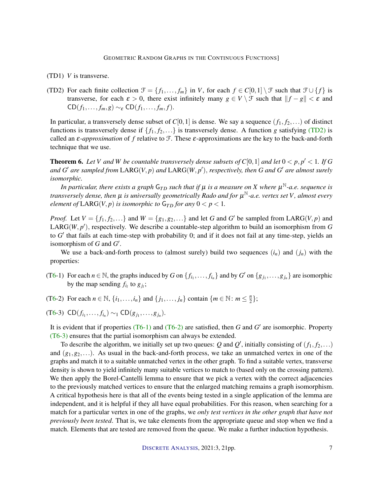- (TD1) *V* is transverse.
- <span id="page-6-0"></span>(TD2) For each finite collection  $\mathcal{F} = \{f_1, \ldots, f_m\}$  in *V*, for each  $f \in C[0,1] \setminus \mathcal{F}$  such that  $\mathcal{F} \cup \{f\}$  is transverse, for each  $\varepsilon > 0$ , there exist infinitely many  $g \in V \setminus \mathcal{F}$  such that  $||f - g|| < \varepsilon$  and  $CD(f_1,..., f_m, g) \sim_{\varepsilon} CD(f_1,..., f_m, f).$

In particular, a transversely dense subset of  $C[0,1]$  is dense. We say a sequence  $(f_1, f_2,...)$  of distinct functions is transversely dense if  $\{f_1, f_2, ...\}$  is transversely dense. A function *g* satisfying [\(TD2\)](#page-6-0) is called an  $\varepsilon$ -*approximation* of f relative to F. These  $\varepsilon$ -approximations are the key to the back-and-forth technique that we use.

<span id="page-6-1"></span>**Theorem 6.** Let V and W be countable transversely dense subsets of  $C[0,1]$  and let  $0 < p, p' < 1$ . If G and  $G'$  are sampled from  $\text{LARG}(V, p)$  and  $\text{LARG}(W, p'),$  respectively, then  $G$  and  $G'$  are almost surely *isomorphic.*

*In particular, there exists a graph* G*T D such that if* µ *is a measure on X where* µ <sup>N</sup>*-a.e. sequence is transversely dense, then* µ *is universally geometrically Rado and for* µ <sup>N</sup>*-a.e. vertex set V, almost every element of*  $LARG(V, p)$  *is isomorphic to*  $G_{TD}$  *for any*  $0 < p < 1$ *.* 

*Proof.* Let  $V = \{f_1, f_2, ...\}$  and  $W = \{g_1, g_2, ...\}$  and let *G* and *G*<sup> $\prime$ </sup> be sampled from LARG(*V*, *p*) and LARG( $W, p'$ ), respectively. We describe a countable-step algorithm to build an isomorphism from G to *G'* that fails at each time-step with probability 0; and if it does not fail at any time-step, yields an isomorphism of  $G$  and  $G'$ .

We use a back-and-forth process to (almost surely) build two sequences  $(i_n)$  and  $(j_n)$  with the properties:

- <span id="page-6-2"></span>([T6-](#page-6-1)1) For each  $n \in \mathbb{N}$ , the graphs induced by *G* on  $\{f_{i_1}, \ldots, f_{i_n}\}$  and by *G*<sup>*'*</sup> on  $\{g_{j_1}, \ldots, g_{j_n}\}$  are isomorphic by the map sending  $f_{i_l}$  to  $g_{j_l}$ ;
- <span id="page-6-3"></span>([T6-](#page-6-1)2) For each  $n \in \mathbb{N}$ ,  $\{i_1, \ldots, i_n\}$  and  $\{j_1, \ldots, j_n\}$  contain  $\{m \in \mathbb{N} : m \leq \frac{n}{2}\}$  $\frac{n}{2}$ ;
- <span id="page-6-4"></span> $(T6-3)$  $(T6-3)$  $(T6-3)$  CD $(f_{i_1},..., f_{i_n}) \sim_1 CD(g_{j_1},..., g_{j_n}).$

It is evident that if properties  $(T6-1)$  and  $(T6-2)$  are satisfied, then *G* and *G'* are isomorphic. Property [\(T6-3\)](#page-6-4) ensures that the partial isomorphism can always be extended.

To describe the algorithm, we initially set up two queues:  $Q$  and  $Q'$ , initially consisting of  $(f_1, f_2,...)$ and  $(g_1, g_2,...)$ . As usual in the back-and-forth process, we take an unmatched vertex in one of the graphs and match it to a suitable unmatched vertex in the other graph. To find a suitable vertex, transverse density is shown to yield infinitely many suitable vertices to match to (based only on the crossing pattern). We then apply the Borel-Cantelli lemma to ensure that we pick a vertex with the correct adjacencies to the previously matched vertices to ensure that the enlarged matching remains a graph isomorphism. A critical hypothesis here is that all of the events being tested in a single application of the lemma are independent, and it is helpful if they all have equal probabilities. For this reason, when searching for a match for a particular vertex in one of the graphs, we *only test vertices in the other graph that have not previously been tested*. That is, we take elements from the appropriate queue and stop when we find a match. Elements that are tested are removed from the queue. We make a further induction hypothesis.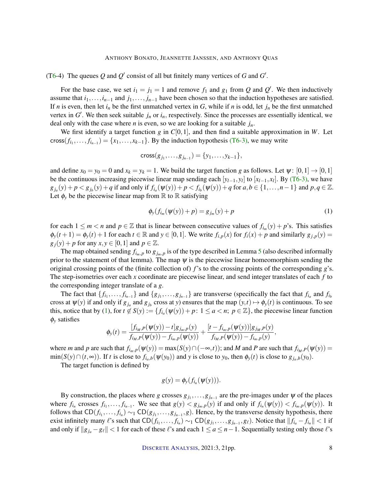([T6-](#page-6-1)4) The queues  $Q$  and  $Q'$  consist of all but finitely many vertices of  $G$  and  $G'$ .

For the base case, we set  $i_1 = j_1 = 1$  and remove  $f_1$  and  $g_1$  from  $Q$  and  $Q'$ . We then inductively assume that  $i_1, \ldots, i_{n-1}$  and  $j_1, \ldots, j_{n-1}$  have been chosen so that the induction hypotheses are satisfied. If *n* is even, then let  $i_n$  be the first unmatched vertex in *G*, while if *n* is odd, let  $j_n$  be the first unmatched vertex in  $G'$ . We then seek suitable  $j_n$  or  $i_n$ , respectively. Since the processes are essentially identical, we deal only with the case where *n* is even, so we are looking for a suitable *jn*.

We first identify a target function  $g$  in  $C[0,1]$ , and then find a suitable approximation in  $W$ . Let  $\text{cross}(f_{i_1}, \ldots, f_{i_{n-1}}) = \{x_1, \ldots, x_{k-1}\}\.$  By the induction hypothesis [\(T6-3\),](#page-6-4) we may write

$$
cross(g_{j_1},...,g_{j_{n-1}}) = \{y_1,...,y_{k-1}\},
$$

and define  $x_0 = y_0 = 0$  and  $x_k = y_k = 1$ . We build the target function *g* as follows. Let  $\psi : [0,1] \rightarrow [0,1]$ be the continuous increasing piecewise linear map sending each  $[y_{l-1}, y_l]$  to  $[x_{l-1}, x_l]$ . By [\(T6-3\),](#page-6-4) we have  $g_{j_a}(y) + p < g_{j_b}(y) + q$  if and only if  $f_{i_a}(\psi(y)) + p < f_{i_b}(\psi(y)) + q$  for  $a, b \in \{1, ..., n-1\}$  and  $p, q \in \mathbb{Z}$ . Let  $\phi$ <sup>*y*</sup> be the piecewise linear map from R to R satisfying

<span id="page-7-0"></span>
$$
\phi_{y}(f_{i_{m}}(\psi(y)) + p) = g_{j_{m}}(y) + p \tag{1}
$$

for each  $1 \le m < n$  and  $p \in \mathbb{Z}$  that is linear between consecutive values of  $f_{i_m}(y) + p$ 's. This satisfies  $\phi_y(t+1) = \phi_y(t) + 1$  for each  $t \in \mathbb{R}$  and  $y \in [0,1]$ . We write  $f_{i,p}(x)$  for  $f_i(x) + p$  and similarly  $g_{j,p}(y) =$  $g_i(y) + p$  for any  $x, y \in [0, 1]$  and  $p \in \mathbb{Z}$ .

The map obtained sending  $f_{i_m,p}$  to  $g_{j_m,p}$  is of the type described in Lemma [5](#page-4-1) (also described informally prior to the statement of that lemma). The map  $\psi$  is the piecewise linear homeomorphism sending the original crossing points of the (finite collection of) *f*'s to the crossing points of the corresponding *g*'s. The step-isometries over each *x* coordinate are piecewise linear, and send integer translates of each *f* to the corresponding integer translate of a *g*.

The fact that  $\{f_{i_1},...,f_{i_{n-1}}\}$  and  $\{g_{j_1},...,g_{j_{n-1}}\}$  are transverse (specifically the fact that  $f_{i_a}$  and  $f_{i_b}$ cross at  $\psi(y)$  if and only if  $g_{j_a}$  and  $g_{j_b}$  cross at *y*) ensures that the map  $(y,t) \mapsto \phi_y(t)$  is continuous. To see this, notice that by [\(1\)](#page-7-0), for  $t \notin S(y) := \{f_{i_a}(\psi(y)) + p: 1 \le a < n; \ p \in \mathbb{Z}\}\)$ , the piecewise linear function φ*<sup>y</sup>* satisfies

$$
\phi_{y}(t) = \frac{[f_{i_{M},P}(\psi(y))-t]g_{j_{m},p}(y)}{f_{i_{M},P}(\psi(y))-f_{i_{m},P}(\psi(y))} + \frac{[t-f_{i_{m},P}(\psi(y))]g_{j_{M},P}(y)}{f_{i_{M},P}(\psi(y))-f_{i_{m},P}(y)},
$$

where *m* and *p* are such that  $f_{i_m,p}(\psi(y)) = \max(S(y) \cap (-\infty,t))$ ; and *M* and *P* are such that  $f_{i_M,P}(\psi(y)) =$  $\min(S(y) \cap (t, \infty))$ . If t is close to  $f_{i_a,b}(\psi(y_0))$  and y is close to  $y_0$ , then  $\phi_y(t)$  is close to  $g_{i_a,b}(y_0)$ .

The target function is defined by

$$
g(y) = \phi_y(f_{i_n}(\psi(y))).
$$

By construction, the places where *g* crosses  $g_{j_1}, \ldots, g_{j_{n-1}}$  are the pre-images under  $\psi$  of the places where  $f_{i_n}$  crosses  $f_{i_1},...,f_{i_{n-1}}$ . We see that  $g(y) < g_{j_m,p}(y)$  if and only if  $f_{i_n}(\psi(y)) < f_{i_m,p}(\psi(y))$ . It follows that  $CD(f_{i_1},..., f_{i_n}) \sim_1 CD(g_{j_1},..., g_{j_{n-1}}, g)$ . Hence, by the transverse density hypothesis, there exist infinitely many  $\ell$ 's such that  $CD(f_{i_1},...,f_{i_n}) \sim_1 CD(g_{j_1},...,g_{j_{n-1}},g_\ell)$ . Notice that  $||f_{i_a} - f_{i_n}|| < 1$  if and only if  $||g_{j_a} - g_\ell|| < 1$  for each of these  $\ell$ 's and each  $1 \le a \le n - 1$ . Sequentially testing only those  $\ell$ 's

DISCRETE A[NALYSIS](http://dx.doi.org/10.19086/da), 2021:3, 21pp. 8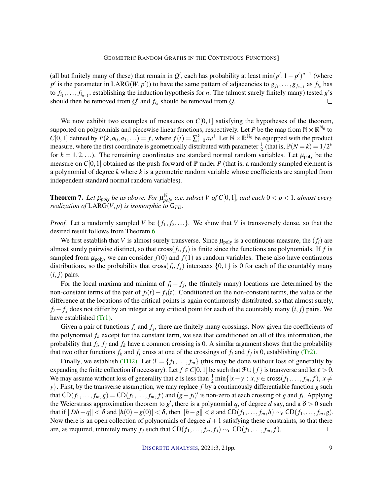(all but finitely many of these) that remain in  $Q'$ , each has probability at least min $(p', 1 - p')^{n-1}$  (where  $p'$  is the parameter in LARG(*W*, *p*<sup> $\prime$ </sup>)) to have the same pattern of adjacencies to  $g_{j_1}, \ldots, g_{j_{n-1}}$  as  $f_{i_n}$  has to  $f_{i_1}, \ldots, f_{i_{n-1}}$ , establishing the induction hypothesis for *n*. The (almost surely finitely many) tested *g*'s should then be removed from  $Q'$  and  $f_{i_n}$  should be removed from  $Q$ . П

We now exhibit two examples of measures on  $C[0,1]$  satisfying the hypotheses of the theorem, supported on polynomials and piecewise linear functions, respectively. Let *P* be the map from  $\mathbb{N} \times \mathbb{R}^{\mathbb{N}_0}$  to  $C[0,1]$  defined by  $P(k, a_0, a_1,...) = f$ , where  $f(t) = \sum_{i=0}^{k} a_i t^i$ . Let  $N \times \mathbb{R}^{N_0}$  be equipped with the product measure, where the first coordinate is geometrically distributed with parameter  $\frac{1}{2}$  (that is,  $\mathbb{P}(N = k) = 1/2^k$ for  $k = 1, 2, \ldots$ ). The remaining coordinates are standard normal random variables. Let  $\mu_{\text{poly}}$  be the measure on  $C[0,1]$  obtained as the push-forward of  $\mathbb P$  under P (that is, a randomly sampled element is a polynomial of degree *k* where *k* is a geometric random variable whose coefficients are sampled from independent standard normal random variables).

<span id="page-8-0"></span>**Theorem 7.** Let  $\mu_{poly}$  be as above. For  $\mu_{poly}^{\mathbb{N}}$ -a.e. subset V of  $C[0,1]$ , and each  $0 < p < 1$ , almost every *realization of*  $LARG(V, p)$  *is isomorphic to*  $G_{TD}$ *.* 

*Proof.* Let a randomly sampled *V* be  $\{f_1, f_2, ...\}$ . We show that *V* is transversely dense, so that the desired result follows from Theorem [6](#page-6-1)

We first establish that *V* is almost surely transverse. Since  $\mu_{\text{poly}}$  is a continuous measure, the  $(f_i)$  are almost surely pairwise distinct, so that cross $(f_i, f_j)$  is finite since the functions are polynomials. If  $f$  is sampled from  $\mu_{poly}$ , we can consider  $f(0)$  and  $f(1)$  as random variables. These also have continuous distributions, so the probability that cross $(f_i, f_j)$  intersects  $\{0,1\}$  is 0 for each of the countably many  $(i, j)$  pairs.

For the local maxima and minima of  $f_i - f_j$ , the (finitely many) locations are determined by the non-constant terms of the pair of  $f_i(t) - f_i(t)$ . Conditioned on the non-constant terms, the value of the difference at the locations of the critical points is again continuously distributed, so that almost surely,  $f_i - f_j$  does not differ by an integer at any critical point for each of the countably many  $(i, j)$  pairs. We have established [\(Tr1\).](#page-5-0)

Given a pair of functions  $f_i$  and  $f_j$ , there are finitely many crossings. Now given the coefficients of the polynomial  $f_k$  except for the constant term, we see that conditioned on all of this information, the probability that *f<sup>i</sup>* , *f<sup>j</sup>* and *f<sup>k</sup>* have a common crossing is 0. A similar argument shows that the probability that two other functions  $f_k$  and  $f_l$  cross at one of the crossings of  $f_i$  and  $f_j$  is 0, establishing [\(Tr2\).](#page-5-1)

Finally, we establish [\(TD2\).](#page-6-0) Let  $\mathcal{F} = \{f_1, \ldots, f_m\}$  (this may be done without loss of generality by expanding the finite collection if necessary). Let  $f \in C[0,1]$  be such that  $\mathcal{F} \cup \{f\}$  is transverse and let  $\varepsilon > 0$ . We may assume without loss of generality that  $\varepsilon$  is less than  $\frac{1}{2}$  min $\{|x-y|: x, y \in \text{cross}(f_1, \ldots, f_m, f), x \neq 0\}$ *y*}. First, by the transverse assumption, we may replace *f* by a continuously differentiable function *g* such that  $CD(f_1,..., f_m, g) = CD(f_1,..., f_m, f)$  and  $(g - f_i)'$  is non-zero at each crossing of *g* and  $f_i$ . Applying the Weierstrass approximation theorem to  $g'$ , there is a polynomial q, of degree d say, and a  $\delta > 0$  such that if  $||Dh-q|| < \delta$  and  $|h(0)-g(0)| < \delta$ , then  $||h-g|| < \varepsilon$  and  $CD(f_1,\ldots,f_m,h) \sim_{\varepsilon} CD(f_1,\ldots,f_m,g)$ . Now there is an open collection of polynomials of degree  $d+1$  satisfying these constraints, so that there are, as required, infinitely many  $f_j$  such that  $CD(f_1, \ldots, f_m, f_j) \sim_{\varepsilon} CD(f_1, \ldots, f_m, f)$ .  $\Box$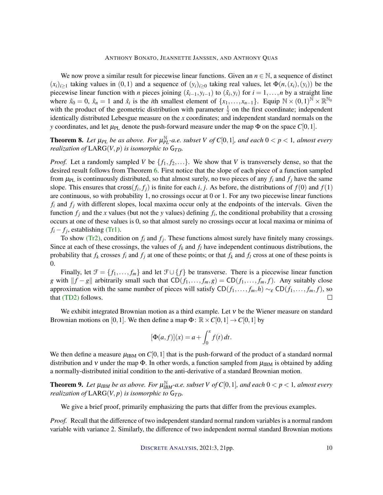We now prove a similar result for piecewise linear functions. Given an  $n \in \mathbb{N}$ , a sequence of distinct  $(x_i)_{i\geq 1}$  taking values in  $(0,1)$  and a sequence of  $(y_i)_{i\geq 0}$  taking real values, let  $\Phi(n,(x_i),(y_i))$  be the piecewise linear function with *n* pieces joining  $(\hat{x}_{i-1}, y_{i-1})$  to  $(\hat{x}_i, y_i)$  for  $i = 1, \ldots, n$  by a straight line where  $\hat{x}_0 = 0$ ,  $\hat{x}_n = 1$  and  $\hat{x}_i$  is the *i*th smallest element of  $\{x_1, \ldots, x_{n-1}\}$ . Equip  $N \times (0, 1)^N \times \mathbb{R}^{N_0}$ with the product of the geometric distribution with parameter  $\frac{1}{2}$  on the first coordinate; independent identically distributed Lebesgue measure on the *x* coordinates; and independent standard normals on the *y* coordinates, and let  $\mu_{PL}$  denote the push-forward measure under the map  $\Phi$  on the space *C*[0,1].

**Theorem 8.** Let  $\mu_{PL}$  be as above. For  $\mu_{PL}^{\mathbb{N}}$ -a.e. subset V of  $C[0,1]$ , and each  $0 < p < 1$ , almost every *realization of*  $LARG(V, p)$  *is isomorphic to*  $G_{TD}$ *.* 

*Proof.* Let a randomly sampled *V* be  $\{f_1, f_2, ...\}$ . We show that *V* is transversely dense, so that the desired result follows from Theorem [6.](#page-6-1) First notice that the slope of each piece of a function sampled from  $\mu_{PL}$  is continuously distributed, so that almost surely, no two pieces of any  $f_i$  and  $f_j$  have the same slope. This ensures that cross $(f_i, f_j)$  is finite for each *i*, *j*. As before, the distributions of  $f(0)$  and  $f(1)$ are continuous, so with probability 1, no crossings occur at 0 or 1. For any two piecewise linear functions  $f_i$  and  $f_j$  with different slopes, local maxima occur only at the endpoints of the intervals. Given the function  $f_j$  and the *x* values (but not the *y* values) defining  $f_i$ , the conditional probability that a crossing occurs at one of these values is 0, so that almost surely no crossings occur at local maxima or minima of  $f_i - f_j$ , establishing [\(Tr1\).](#page-5-0)

To show [\(Tr2\),](#page-5-1) condition on  $f_i$  and  $f_j$ . These functions almost surely have finitely many crossings. Since at each of these crossings, the values of  $f_k$  and  $f_l$  have independent continuous distributions, the probability that  $f_k$  crosses  $f_i$  and  $f_j$  at one of these points; or that  $f_k$  and  $f_l$  cross at one of these points is 0.

Finally, let  $\mathcal{F} = \{f_1, \ldots, f_m\}$  and let  $\mathcal{F} \cup \{f\}$  be transverse. There is a piecewise linear function *g* with  $||f - g||$  arbitrarily small such that CD(*f*<sub>1</sub>,..., *f*<sub>*m*</sub>, *g*) = CD(*f*<sub>1</sub>,..., *f*<sub>*m*</sub>, *f*). Any suitably close approximation with the same number of pieces will satisfy  $CD(f_1,..., f_m, h) \sim_{\varepsilon} CD(f_1,..., f_m, f)$ , so that [\(TD2\)](#page-6-0) follows.  $\Box$ 

We exhibit integrated Brownian motion as a third example. Let ν be the Wiener measure on standard Brownian motions on [0,1]. We then define a map  $\Phi$ :  $\mathbb{R} \times C[0,1] \rightarrow C[0,1]$  by

$$
[\Phi(a,f)](x) = a + \int_0^x f(t) dt.
$$

We then define a measure  $\mu_{\rm IBM}$  on  $C[0,1]$  that is the push-forward of the product of a standard normal distribution and v under the map  $\Phi$ . In other words, a function sampled from  $\mu_{\rm IBM}$  is obtained by adding a normally-distributed initial condition to the anti-derivative of a standard Brownian motion.

**Theorem 9.** Let  $\mu_{IBM}$  be as above. For  $\mu_{IBM}^{\mathbb{N}}$ -a.e. subset V of  $C[0,1]$ , and each  $0 < p < 1$ , almost every *realization of*  $LARG(V, p)$  *is isomorphic to*  $G_{TD}$ *.* 

We give a brief proof, primarily emphasizing the parts that differ from the previous examples.

*Proof.* Recall that the difference of two independent standard normal random variables is a normal random variable with variance 2. Similarly, the difference of two independent normal standard Brownian motions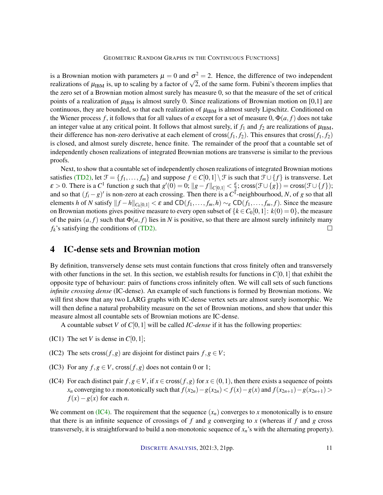is a Brownian motion with parameters  $\mu = 0$  and  $\sigma^2 = 2$ . Hence, the difference of two independent is a Brownian motion with parameters  $\mu = 0$  and  $\sigma^2 = 2$ . Hence, the difference of two independent realizations of  $\mu_{\rm IBM}$  is, up to scaling by a factor of  $\sqrt{2}$ , of the same form. Fubini's theorem implies that the zero set of a Brownian motion almost surely has measure 0, so that the measure of the set of critical points of a realization of  $\mu_{\rm IBM}$  is almost surely 0. Since realizations of Brownian motion on [0,1] are continuous, they are bounded, so that each realization of  $\mu_{\rm IBM}$  is almost surely Lipschitz. Conditioned on the Wiener process f, it follows that for all values of a except for a set of measure 0,  $\Phi(a, f)$  does not take an integer value at any critical point. It follows that almost surely, if  $f_1$  and  $f_2$  are realizations of  $\mu_{\rm IBM}$ , their difference has non-zero derivative at each element of cross( $f_1, f_2$ ). This ensures that cross( $f_1, f_2$ ) is closed, and almost surely discrete, hence finite. The remainder of the proof that a countable set of independently chosen realizations of integrated Brownian motions are transverse is similar to the previous proofs.

Next, to show that a countable set of independently chosen realizations of integrated Brownian motions satisfies [\(TD2\),](#page-6-0) let  $\mathcal{F} = \{f_1, \ldots, f_m\}$  and suppose  $f \in C[0,1] \setminus \mathcal{F}$  is such that  $\mathcal{F} \cup \{f\}$  is transverse. Let  $\varepsilon > 0$ . There is a  $C^1$  function *g* such that  $g'(0) = 0$ ;  $||g - f||_{C[0,1]} < \frac{\varepsilon}{2}$ ; cross( $\mathcal{F} \cup \{g\}$ ) = cross( $\mathcal{F} \cup \{f\}$ ); and so that  $(f_i - g)'$  is non-zero at each crossing. Then there is a  $C^{\bar{1}}$ -neighbourhood, *N*, of *g* so that all elements *h* of *N* satisfy  $||f - h||_{C_0[0,1]} < \varepsilon$  and CD $(f_1, \ldots, f_m, h) \sim_{\varepsilon} \text{CD}(f_1, \ldots, f_m, f)$ . Since the measure on Brownian motions gives positive measure to every open subset of  ${k \in C_0[0,1]: k(0) = 0}$ , the measure of the pairs  $(a, f)$  such that  $\Phi(a, f)$  lies in *N* is positive, so that there are almost surely infinitely many  $f_k$ 's satisfying the conditions of  $(TD2)$ .  $\Box$ 

# 4 IC-dense sets and Brownian motion

By definition, transversely dense sets must contain functions that cross finitely often and transversely with other functions in the set. In this section, we establish results for functions in  $C[0,1]$  that exhibit the opposite type of behaviour: pairs of functions cross infinitely often. We will call sets of such functions *infinite crossing dense* (IC-dense). An example of such functions is formed by Brownian motions. We will first show that any two LARG graphs with IC-dense vertex sets are almost surely isomorphic. We will then define a natural probability measure on the set of Brownian motions, and show that under this measure almost all countable sets of Brownian motions are IC-dense.

A countable subset *V* of  $C[0,1]$  will be called *IC-dense* if it has the following properties:

- (IC1) The set *V* is dense in  $C[0,1]$ ;
- <span id="page-10-1"></span>(IC2) The sets cross $(f, g)$  are disjoint for distinct pairs  $f, g \in V$ ;
- <span id="page-10-2"></span>(IC3) For any  $f, g \in V$ , cross $(f, g)$  does not contain 0 or 1;
- <span id="page-10-0"></span>(IC4) For each distinct pair  $f, g \in V$ , if  $x \in \text{cross}(f, g)$  for  $x \in (0, 1)$ , then there exists a sequence of points  $x_n$  converging to x monotonically such that  $f(x_{2n}) - g(x_{2n}) < f(x) - g(x)$  and  $f(x_{2n+1}) - g(x_{2n+1}) >$  $f(x) - g(x)$  for each *n*.

We comment on  $(IC4)$ . The requirement that the sequence  $(x_n)$  converges to *x* monotonically is to ensure that there is an infinite sequence of crossings of  $f$  and  $g$  converging to  $x$  (whereas if  $f$  and  $g$  cross transversely, it is straightforward to build a non-monotonic sequence of  $x_n$ 's with the alternating property).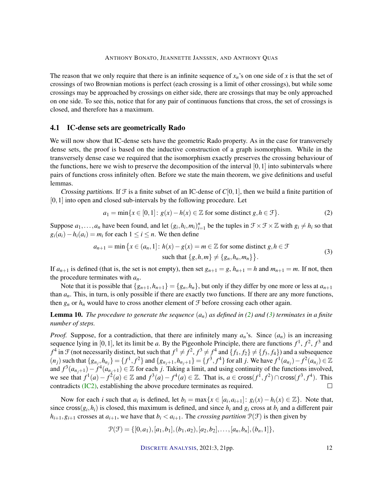The reason that we only require that there is an infinite sequence of *xn*'s on one side of *x* is that the set of crossings of two Brownian motions is perfect (each crossing is a limit of other crossings), but while some crossings may be approached by crossings on either side, there are crossings that may be only approached on one side. To see this, notice that for any pair of continuous functions that cross, the set of crossings is closed, and therefore has a maximum.

## 4.1 IC-dense sets are geometrically Rado

We will now show that IC-dense sets have the geometric Rado property. As in the case for transversely dense sets, the proof is based on the inductive construction of a graph isomorphism. While in the transversely dense case we required that the isomorphism exactly preserves the crossing behaviour of the functions, here we wish to preserve the decomposition of the interval  $[0,1]$  into subintervals where pairs of functions cross infinitely often. Before we state the main theorem, we give definitions and useful lemmas.

Crossing partitions. If  $\mathcal F$  is a finite subset of an IC-dense of  $C[0,1]$ , then we build a finite partition of  $[0,1]$  into open and closed sub-intervals by the following procedure. Let

<span id="page-11-1"></span><span id="page-11-0"></span>
$$
a_1 = \min\{x \in [0,1]: g(x) - h(x) \in \mathbb{Z} \text{ for some distinct } g, h \in \mathcal{F}\}.
$$
 (2)

Suppose  $a_1, \ldots, a_n$  have been found, and let  $(g_i, h_i, m_i)_{i=1}^n$  be the tuples in  $\mathcal{F} \times \mathcal{F} \times \mathbb{Z}$  with  $g_i \neq h_i$  so that  $g_i(a_i) - h_i(a_i) = m_i$  for each  $1 \leq i \leq n$ . We then define

$$
a_{n+1} = \min \left\{ x \in (a_n, 1] : h(x) - g(x) = m \in \mathbb{Z} \text{ for some distinct } g, h \in \mathcal{F} \text{ such that } \{ g, h, m \} \neq \{ g_n, h_n, m_n \} \right\}. \tag{3}
$$

If  $a_{n+1}$  is defined (that is, the set is not empty), then set  $g_{n+1} = g$ ,  $h_{n+1} = h$  and  $m_{n+1} = m$ . If not, then the procedure terminates with *an*.

Note that it is possible that  $\{g_{n+1}, h_{n+1}\} = \{g_n, h_n\}$ , but only if they differ by one more or less at  $a_{n+1}$ than *an*. This, in turn, is only possible if there are exactly two functions. If there are any more functions, then  $g_n$  or  $h_n$  would have to cross another element of  $\mathcal F$  before crossing each other again.

**Lemma 10.** *The procedure to generate the sequence*  $(a_n)$  *as defined in* [\(2\)](#page-11-0) *and* [\(3\)](#page-11-1) *terminates in a finite number of steps.*

*Proof.* Suppose, for a contradiction, that there are infinitely many  $a_n$ 's. Since  $(a_n)$  is an increasing sequence lying in [0, 1], let its limit be *a*. By the Pigeonhole Principle, there are functions  $f^1$ ,  $f^2$ ,  $f^3$  and  $f^4$  in F (not necessarily distinct, but such that  $f^1 \neq f^2$ ,  $f^3 \neq f^4$  and  $\{f_1, f_2\} \neq \{f_3, f_4\}$ ) and a subsequence  $(n_j)$  such that  $\{g_{n_j}, h_{n_j}\} = \{f^1, f^2\}$  and  $\{g_{n_j+1}, h_{n_j+1}\} = \{f^3, f^4\}$  for all j. We have  $f^1(a_{n_j}) - f^2(a_{n_j}) \in \mathbb{Z}$ and  $f^3(a_{n_j+1}) - f^4(a_{n_j+1}) \in \mathbb{Z}$  for each *j*. Taking a limit, and using continuity of the functions involved, we see that  $f^1(a) - f^2(a) \in \mathbb{Z}$  and  $f^3(a) - f^4(a) \in \mathbb{Z}$ . That is,  $a \in \text{cross}(f^1, f^2) \cap \text{cross}(f^3, f^4)$ . This contradicts [\(IC2\),](#page-10-1) establishing the above procedure terminates as required.  $\Box$ 

Now for each *i* such that  $a_i$  is defined, let  $b_i = \max\{x \in [a_i, a_{i+1}] : g_i(x) - h_i(x) \in \mathbb{Z}\}\.$  Note that, since cross $(g_i, h_i)$  is closed, this maximum is defined, and since  $h_i$  and  $g_i$  cross at  $b_i$  and a different pair  $h_{i+1}, g_{i+1}$  crosses at  $a_{i+1}$ , we have that  $b_i < a_{i+1}$ . The *crossing partition*  $\mathcal{P}(\mathcal{F})$  is then given by

$$
\mathcal{P}(\mathcal{F}) = \{ [0, a_1), [a_1, b_1], (b_1, a_2), [a_2, b_2], \ldots, [a_n, b_n], (b_n, 1] \},\
$$

DISCRETE A[NALYSIS](http://dx.doi.org/10.19086/da), 2021:3, 21pp. 12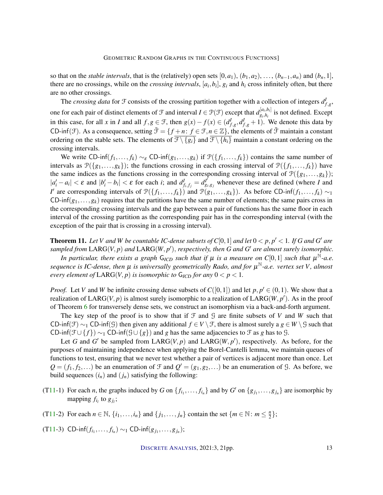so that on the *stable intervals*, that is the (relatively) open sets  $[0, a_1)$ ,  $(b_1, a_2)$ , ...,  $(b_{n-1}, a_n)$  and  $(b_n, 1]$ , there are no crossings, while on the *crossing intervals*,  $[a_i, b_i]$ ,  $g_i$  and  $h_i$  cross infinitely often, but there are no other crossings.

The *crossing data* for  $\mathcal{F}$  consists of the crossing partition together with a collection of integers  $d_{f,g}^I$ , one for each pair of distinct elements of  $\mathcal F$  and interval  $I \in \mathcal P(\mathcal F)$  except that  $d_{g_i}^{[a_i,b_i]}$  $g_{i,h_i}^{[a_i,b_i]}$  is not defined. Except in this case, for all *x* in *I* and all  $f, g \in \mathcal{F}$ , then  $g(x) - f(x) \in (d_{f,g}^I, d_{f,g}^I + 1)$ . We denote this data by CD-inf(F). As a consequence, setting  $\bar{\mathcal{F}} = \{f + n: f \in \mathcal{F}, n \in \mathbb{Z}\}$ , the elements of  $\bar{\mathcal{F}}$  maintain a constant ordering on the stable sets. The elements of  $\overline{\mathcal{F}\setminus\{g_i\}}$  and  $\overline{\mathcal{F}\setminus\{h_i\}}$  maintain a constant ordering on the crossing intervals.

We write CD-inf $(f_1,..., f_k) \sim_{\varepsilon} C$ D-inf $(g_1,..., g_k)$  if  $\mathcal{P}(\{f_1,..., f_k\})$  contains the same number of intervals as  $\mathcal{P}(\{g_1,\ldots,g_k\})$ ; the functions crossing in each crossing interval of  $\mathcal{P}(\{f_1,\ldots,f_k\})$  have the same indices as the functions crossing in the corresponding crossing interval of  $\mathcal{P}(\{g_1,...,g_k\})$ ;  $|a'_i - a_i| < \varepsilon$  and  $|b'_i - b_i| < \varepsilon$  for each *i*; and  $d_{f_i, f_j}^I = d_{g_i}^{I^j}$  $g_{i,g_j}$  whenever these are defined (where *I* and *I*<sup> $\prime$ </sup> are corresponding intervals of  $\mathcal{P}(\lbrace f_1,\ldots,f_k \rbrace)$  and  $\mathcal{P}(g_1,\ldots,g_k)$ ). As before CD-inf $(f_1,\ldots,f_k) \sim_1$  $CD\text{-}inf(g_1,...,g_k)$  requires that the partitions have the same number of elements; the same pairs cross in the corresponding crossing intervals and the gap between a pair of functions has the same floor in each interval of the crossing partition as the corresponding pair has in the corresponding interval (with the exception of the pair that is crossing in a crossing interval).

<span id="page-12-0"></span>**Theorem 11.** Let V and W be countable IC-dense subsets of  $C[0,1]$  and let  $0 < p, p' < 1$ . If G and G' are sampled from  $\text{LARG}(V, p)$  and  $\text{LARG}(W, p')$ , respectively, then G and G' are almost surely isomorphic. *In particular, there exists a graph*  $G_{\text{ICD}}$  *such that if*  $\mu$  *is a measure on*  $C[0,1]$  *such that*  $\mu^{\overline{N}}$ -a.e. *sequence is IC-dense, then* µ *is universally geometrically Rado, and for* µ <sup>N</sup>*-a.e. vertex set V, almost every element of*  $\text{LARG}(V, p)$  *is isomorphic to*  $\text{G}_{\text{ICD}}$  *for any*  $0 < p < 1$ *.* 

*Proof.* Let *V* and *W* be infinite crossing dense subsets of  $C([0,1])$  and let  $p, p' \in (0,1)$ . We show that a realization of  $\text{LARG}(V, p)$  is almost surely isomorphic to a realization of  $\text{LARG}(W, p')$ . As in the proof of Theorem [6](#page-6-1) for transversely dense sets, we construct an isomorphism via a back-and-forth argument.

The key step of the proof is to show that if  $\mathcal F$  and  $\mathcal G$  are finite subsets of  $V$  and  $W$  such that CD-inf(F) ~1 CD-inf(G) then given any additional  $f \in V \setminus \mathcal{F}$ , there is almost surely a  $g \in W \setminus \mathcal{G}$  such that CD-inf( $\mathcal{F} \cup \{f\}$ ) ~1 CD-inf( $\mathcal{G} \cup \{g\}$ ) and *g* has the same adjacencies to  $\mathcal{F}$  as *g* has to  $\mathcal{G}$ .

Let *G* and *G*<sup> $\prime$ </sup> be sampled from LARG(*V*, *p*) and LARG(*W*, *p*<sup> $\prime$ </sup>), respectively. As before, for the purposes of maintaining independence when applying the Borel-Cantelli lemma, we maintain queues of functions to test, ensuring that we never test whether a pair of vertices is adjacent more than once. Let  $Q = (f_1, f_2,...)$  be an enumeration of  $\mathcal{F}$  and  $Q' = (g_1, g_2,...)$  be an enumeration of  $\mathcal{G}$ . As before, we build sequences  $(i_n)$  and  $(j_n)$  satisfying the following:

- ([T11-](#page-12-0)1) For each *n*, the graphs induced by *G* on  $\{f_{i_1}, \ldots, f_{i_n}\}$  and by *G*<sup>*'*</sup> on  $\{g_{j_1}, \ldots, g_{j_n}\}$  are isomorphic by mapping  $f_{i_l}$  to  $g_{j_l}$ ;
- ([T11-](#page-12-0)2) For each  $n \in \mathbb{N}$ ,  $\{i_1, \ldots, i_n\}$  and  $\{j_1, \ldots, j_n\}$  contain the set  $\{m \in \mathbb{N} : m \leq \frac{n}{2}\}$  $\frac{n}{2}$ ;
- <span id="page-12-1"></span> $(T11-3)$  $(T11-3)$  $(T11-3)$  CD-inf $(f_{i_1},..., f_{i_n}) \sim_1$  CD-inf $(g_{j_1},..., g_{j_n})$ ;

DISCRETE A[NALYSIS](http://dx.doi.org/10.19086/da), 2021:3, 21pp. 13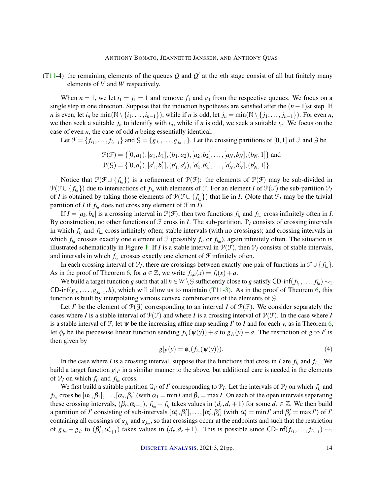([T11-](#page-12-0)4) the remaining elements of the queues  $Q$  and  $Q'$  at the *n*th stage consist of all but finitely many elements of *V* and *W* respectively.

When  $n = 1$ , we let  $i_1 = j_1 = 1$  and remove  $f_1$  and  $g_1$  from the respective queues. We focus on a single step in one direction. Suppose that the induction hypotheses are satisfied after the (*n*−1)st step. If *n* is even, let  $i_n$  be min( $\mathbb{N}\setminus\{i_1,\ldots,i_{n-1}\}$ ), while if *n* is odd, let  $j_n = \min(\mathbb{N}\setminus\{j_1,\ldots,j_{n-1}\})$ . For even *n*, we then seek a suitable  $j_n$  to identify with  $i_n$ , while if *n* is odd, we seek a suitable  $i_n$ . We focus on the case of even *n*, the case of odd *n* being essentially identical.

Let  $\mathcal{F} = \{f_{i_1}, \ldots, f_{i_{n-1}}\}$  and  $\mathcal{G} = \{g_{j_1}, \ldots, g_{j_{n-1}}\}$ . Let the crossing partitions of [0, 1] of  $\mathcal{F}$  and  $\mathcal{G}$  be

$$
\mathcal{P}(\mathcal{F}) = \{ [0, a_1), [a_1, b_1], (b_1, a_2), [a_2, b_2], \dots, [a_N, b_N], (b_N, 1] \}
$$
 and  

$$
\mathcal{P}(\mathcal{G}) = \{ [0, a'_1), [a'_1, b'_1], (b'_1, a'_2), [a'_2, b'_2], \dots, [a'_N, b'_N], (b'_N, 1] \}.
$$

Notice that  $\mathcal{P}(\mathcal{F} \cup \{f_{i_n}\})$  is a refinement of  $\mathcal{P}(\mathcal{F})$ : the elements of  $\mathcal{P}(\mathcal{F})$  may be sub-divided in  $P(\mathcal{F} \cup \{f_{i_n}\})$  due to intersections of  $f_{i_n}$  with elements of  $\mathcal{F}$ . For an element *I* of  $P(\mathcal{F})$  the sub-partition  $P_I$ of *I* is obtained by taking those elements of  $\mathcal{P}(\mathcal{F} \cup \{f_{i_n}\})$  that lie in *I*. (Note that  $\mathcal{P}_I$  may be the trivial partition of *I* if  $f_{i_n}$  does not cross any element of  $\mathcal{F}$  in *I*).

If  $I = [a_k, b_k]$  is a crossing interval in  $\mathcal{P}(\mathcal{F})$ , then two functions  $f_{i_l}$  and  $f_{i_m}$  cross infinitely often in *I*. By construction, no other functions of  $\mathcal F$  cross in *I*. The sub-partition,  $\mathcal P_I$  consists of crossing intervals in which  $f_{i_l}$  and  $f_{i_m}$  cross infinitely often; stable intervals (with no crossings); and crossing intervals in which  $f_{i_n}$  crosses exactly one element of  $\mathcal F$  (possibly  $f_{i_l}$  or  $f_{i_m}$ ), again infinitely often. The situation is illustrated schematically in Figure [1.](#page-14-0) If *I* is a stable interval in  $P(\mathcal{F})$ , then  $P_I$  consists of stable intervals, and intervals in which  $f_{i_n}$  crosses exactly one element of  $\mathcal F$  infinitely often.

In each crossing interval of  $\mathcal{P}_I$ , there are crossings between exactly one pair of functions in  $\mathcal{F} \cup \{f_{i_n}\}.$ As in the proof of Theorem [6,](#page-6-1) for  $a \in \mathbb{Z}$ , we write  $f_{i,a}(x) = f_i(x) + a$ .

We build a target function *g* such that all  $h \in W \setminus G$  sufficiently close to *g* satisfy CD-inf $(f_{i_1}, \ldots, f_{i_n}) \sim_1$ CD-inf( $g_{j_1},...,g_{j_{n-1}},h$ ), which will allow us to maintain [\(T11-3\).](#page-12-1) As in the proof of Theorem [6,](#page-6-1) this function is built by interpolating various convex combinations of the elements of G.

Let *I'* be the element of  $\mathcal{P}(G)$  corresponding to an interval *I* of  $\mathcal{P}(F)$ . We consider separately the cases where *I* is a stable interval of  $\mathcal{P}(\mathcal{F})$  and where *I* is a crossing interval of  $\mathcal{P}(\mathcal{F})$ . In the case where *I* is a stable interval of  $\mathcal{F}$ , let  $\psi$  be the increasing affine map sending  $I'$  to *I* and for each *y*, as in Theorem [6,](#page-6-1) let  $\phi_y$  be the piecewise linear function sending  $f_{i_k}(\psi(y)) + a$  to  $g_{j_k}(y) + a$ . The restriction of *g* to *I'* is then given by

$$
g|_{I'}(y) = \phi_{y}(f_{i_n}(\psi(y))). \qquad (4)
$$

<span id="page-13-0"></span>In the case where *I* is a crossing interval, suppose that the functions that cross in *I* are  $f_{i_l}$  and  $f_{i_m}$ . We build a target function  $g|_{I'}$  in a similar manner to the above, but additional care is needed in the elements of  $\mathcal{P}_I$  on which  $f_{i_l}$  and  $f_{i_m}$  cross.

We first build a suitable partition  $Q_{I'}$  of *I'* corresponding to  $P_I$ . Let the intervals of  $P_I$  on which  $f_{i_I}$  and  $f_{i_m}$  cross be  $[\alpha_1,\beta_1],\ldots,[\alpha_s,\beta_s]$  (with  $\alpha_1=\min I$  and  $\beta_s=\max I$ . On each of the open intervals separating these crossing intervals,  $(\beta_r, \alpha_{r+1}), f_{i_m} - f_{i_l}$  takes values in  $(d_r, d_r + 1)$  for some  $d_r \in \mathbb{Z}$ . We then build a partition of *I'* consisting of sub-intervals  $[\alpha'_1, \beta'_1], \ldots, [\alpha'_s, \beta'_s]$  (with  $\alpha'_1 = \min I'$  and  $\beta'_s = \max I'$ ) of *I'* containing all crossings of  $g_{j_l}$  and  $g_{j_m}$ , so that crossings occur at the endpoints and such that the restriction of  $g_{j_m} - g_{j_l}$  to  $(\beta'_r, \alpha'_{r+1})$  takes values in  $(d_r, d_r + 1)$ . This is possible since CD-inf $(f_{i_1}, \ldots, f_{i_{n-1}}) \sim_1$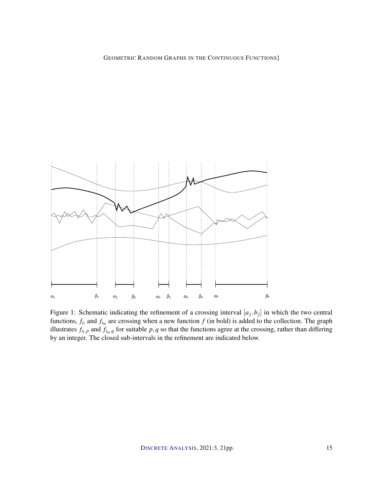

<span id="page-14-0"></span>Figure 1: Schematic indicating the refinement of a crossing interval  $[a_j, b_j]$  in which the two central functions,  $f_{i_l}$  and  $f_{i_m}$  are crossing when a new function  $f$  (in bold) is added to the collection. The graph illustrates  $f_{i_l,p}$  and  $f_{i_m,q}$  for suitable  $p,q$  so that the functions agree at the crossing, rather than differing by an integer. The closed sub-intervals in the refinement are indicated below.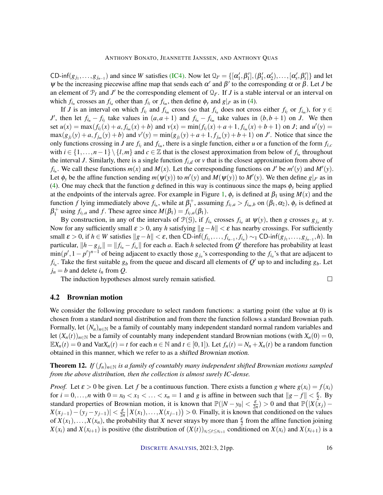CD-inf( $g_{j_1},...,g_{j_{n-1}}$ ) and since *W* satisfies [\(IC4\).](#page-10-0) Now let  $\mathcal{Q}_{I'} = \{[\alpha'_1,\beta'_1],(\beta'_1,\alpha'_2),...,[\alpha'_s,\beta'_s]\}$  and let  $\psi$  be the increasing piecewise affine map that sends each  $\alpha'$  and  $\beta'$  to the corresponding  $\alpha$  or  $\beta$ . Let *J* be an element of  $\mathcal{P}_I$  and  $J'$  be the corresponding element of  $\mathcal{Q}_{I'}$ . If *J* is a stable interval or an interval on which  $f_{i_n}$  crosses an  $f_{i_a}$  other than  $f_{i_l}$  or  $f_{i_m}$ , then define  $\phi_y$  and  $g|_{J'}$  as in [\(4\)](#page-13-0).

If *J* is an interval on which  $f_{i_l}$  and  $f_{i_m}$  cross (so that  $f_{i_n}$  does not cross either  $f_{i_l}$  or  $f_{i_m}$ ), for  $y \in$ J', then let  $f_{i_n} - f_{i_l}$  take values in  $(a, a + 1)$  and  $f_{i_n} - f_{i_m}$  take values in  $(b, b + 1)$  on J. We then set  $u(x) = \max(f_{i_l}(x) + a, f_{i_m}(x) + b)$  and  $v(x) = \min(f_{i_l}(x) + a + 1, f_{i_m}(x) + b + 1)$  on J; and  $u'(y) =$  $\max(g_{j_l}(y) + a, f_{j_m}(y) + b)$  and  $v'(y) = \min(g_{j_l}(y) + a + 1, f_{j_m}(y) + b + 1)$  on J'. Notice that since the only functions crossing in *J* are  $f_{i_l}$  and  $f_{i_m}$ , there is a single function, either *u* or a function of the form  $f_{i,c}$ with  $i \in \{1, ..., n-1\} \setminus \{l, m\}$  and  $c \in \mathbb{Z}$  that is the closest approximation from below of  $f_{i_n}$  throughout the interval *J*. Similarly, there is a single function *fi*,*<sup>d</sup>* or *v* that is the closest approximation from above of  $f_{i_n}$ . We call these functions  $m(x)$  and  $M(x)$ . Let the corresponding functions on *J*<sup> $\prime$ </sup> be  $m'(y)$  and  $M'(y)$ . Let  $\phi_y$  be the affine function sending  $m(\psi(y))$  to  $m'(y)$  and  $M(\psi(y))$  to  $M'(y)$ . We then define  $g|_{J'}$  as in [\(4\)](#page-13-0). One may check that the function *g* defined in this way is continuous since the maps  $\phi_y$  being applied at the endpoints of the intervals agree. For example in Figure [1,](#page-14-0)  $\phi_y$  is defined at  $\beta_1$  using  $M(x)$  and the function *f* lying immediately above  $f_{i_n}$ , while at  $\beta_1^+$ , assuming  $f_{i_l,a} > f_{i_m,b}$  on  $(\beta_1,\alpha_2)$ ,  $\phi_y$  is defined at  $\beta_1^+$  using  $f_{i_l,a}$  and  $f$ . These agree since  $M(\beta_1) = f_{i_l,a}(\beta_1)$ .

By construction, in any of the intervals of  $\mathcal{P}(\mathcal{G})$ , if  $f_{i_n}$  crosses  $f_{i_a}$  at  $\psi(y)$ , then *g* crosses  $g_{j_a}$  at *y*. Now for any sufficiently small  $\varepsilon > 0$ , any *h* satisfying  $||g-h|| < \varepsilon$  has nearby crossings. For sufficiently small  $\varepsilon > 0$ , if  $h \in W$  satisfies  $||g - h|| < \varepsilon$ , then CD-inf $(f_{i_1}, \ldots, f_{i_{n-1}}, f_{i_n}) \sim_1$  CD-inf $(g_{j_1}, \ldots, g_{j_{n-1}}, h)$ . In particular,  $||h - g_{j_a}|| = ||f_{i_a} - f_{i_a}||$  for each *a*. Each *h* selected from  $Q'$  therefore has probability at least  $\min(p', 1 - p')^{n-1}$  of being adjacent to exactly those  $g_{j_a}$ 's corresponding to the  $f_{i_a}$ 's that are adjacent to  $f_{i_n}$ . Take the first suitable  $g_b$  from the queue and discard all elements of  $Q'$  up to and including  $g_b$ . Let  $j_n = b$  and delete  $i_n$  from  $Q$ .

The induction hypotheses almost surely remain satisfied.

## 4.2 Brownian motion

We consider the following procedure to select random functions: a starting point (the value at 0) is chosen from a standard normal distribution and from there the function follows a standard Brownian path. Formally, let  $(N_n)_{n\in\mathbb{N}}$  be a family of countably many independent standard normal random variables and let  $(X_n(t))_{n\in\mathbb{N}}$  be a family of countably many independent standard Brownian motions (with  $X_n(0) = 0$ ,  $\mathbb{E}X_n(t) = 0$  and  $\text{Var}X_n(t) = t$  for each  $n \in \mathbb{N}$  and  $t \in [0,1]$ ). Let  $f_n(t) = N_n + X_n(t)$  be a random function obtained in this manner, which we refer to as a shifted Brownian motion.

<span id="page-15-0"></span>**Theorem 12.** *If*  $(f_n)_{n \in \mathbb{N}}$  *is a family of countably many independent shifted Brownian motions sampled from the above distribution, then the collection is almost surely IC-dense.*

*Proof.* Let  $\varepsilon > 0$  be given. Let f be a continuous function. There exists a function *g* where  $g(x_i) = f(x_i)$ for  $i = 0, \ldots, n$  with  $0 = x_0 < x_1 < \ldots < x_n = 1$  and *g* is affine in between such that  $||g - f|| \leq \frac{\varepsilon}{2}$ . By standard properties of Brownian motion, it is known that  $\mathbb{P}(|N - y_0| < \frac{\varepsilon}{2n}) > 0$  and that  $\mathbb{P}(|X(x_j) - y_j|)$  $X(x_{j-1}) - (y_j - y_{j-1})$  <  $\xi \frac{\varepsilon}{2n} |X(x_1),...,X(x_{j-1})| > 0$ . Finally, it is known that conditioned on the values of  $X(x_1),...,X(x_n)$ , the probability that *X* never strays by more than  $\frac{\varepsilon}{2}$  from the affine function joining  $X(x_i)$  and  $X(x_{i+1})$  is positive (the distribution of  $(X(t))_{x_i \le t \le x_{i+1}}$  conditioned on  $X(x_i)$  and  $X(x_{i+1})$  is a

 $\Box$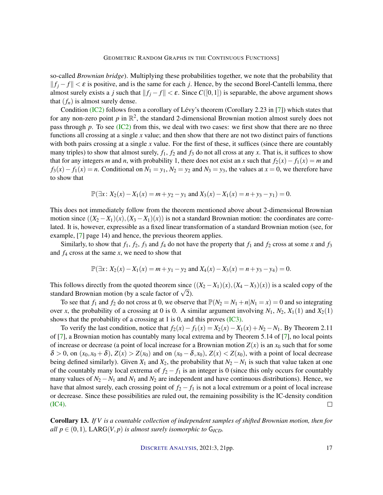<span id="page-16-0"></span>so-called *Brownian bridge*). Multiplying these probabilities together, we note that the probability that  $||f_i - f|| < \varepsilon$  is positive, and is the same for each *j*. Hence, by the second Borel-Cantelli lemma, there almost surely exists a *j* such that  $||f_i - f|| < \varepsilon$ . Since  $C([0,1])$  is separable, the above argument shows that  $(f_n)$  is almost surely dense.

Condition [\(IC2\)](#page-10-1) follows from a corollary of Lévy's theorem (Corollary 2.23 in [\[7\]](#page-19-5)) which states that for any non-zero point  $p$  in  $\mathbb{R}^2$ , the standard 2-dimensional Brownian motion almost surely does not pass through *p*. To see [\(IC2\)](#page-10-1) from this, we deal with two cases: we first show that there are no three functions all crossing at a single *x* value; and then show that there are not two distinct pairs of functions with both pairs crossing at a single *x* value. For the first of these, it suffices (since there are countably many triples) to show that almost surely,  $f_1$ ,  $f_2$  and  $f_3$  do not all cross at any *x*. That is, it suffices to show that for any integers *m* and *n*, with probability 1, there does not exist an *x* such that  $f_2(x) - f_1(x) = m$  and  $f_3(x) - f_1(x) = n$ . Conditional on  $N_1 = y_1$ ,  $N_2 = y_2$  and  $N_3 = y_3$ , the values at  $x = 0$ , we therefore have to show that

$$
\mathbb{P}(\exists x \colon X_2(x) - X_1(x) = m + y_2 - y_1 \text{ and } X_3(x) - X_1(x) = n + y_3 - y_1) = 0.
$$

This does not immediately follow from the theorem mentioned above about 2-dimensional Brownian motion since  $((X_2 - X_1)(x), (X_3 - X_1)(x))$  is not a standard Brownian motion: the coordinates are correlated. It is, however, expressible as a fixed linear transformation of a standard Brownian motion (see, for example, [\[7\]](#page-19-5) page 14) and hence, the previous theorem applies.

Similarly, to show that  $f_1$ ,  $f_2$ ,  $f_3$  and  $f_4$  do not have the property that  $f_1$  and  $f_2$  cross at some *x* and  $f_3$ and *f*<sup>4</sup> cross at the same *x*, we need to show that

$$
\mathbb{P}(\exists x \colon X_2(x) - X_1(x) = m + y_1 - y_2 \text{ and } X_4(x) - X_3(x) = n + y_3 - y_4) = 0.
$$

This follows directly from the quoted theorem since  $((X_2 - X_1)(x), (X_4 - X_3)(x))$  is a scaled copy of the This follows directly from the quoted theorem since<br>standard Brownian motion (by a scale factor of  $\sqrt{2}$ ).

To see that  $f_1$  and  $f_2$  do not cross at 0, we observe that  $\mathbb{P}(N_2 = N_1 + n|N_1 = x) = 0$  and so integrating over *x*, the probability of a crossing at 0 is 0. A similar argument involving  $N_1$ ,  $N_2$ ,  $X_1(1)$  and  $X_2(1)$ shows that the probability of a crossing at 1 is 0, and this proves [\(IC3\).](#page-10-2)

To verify the last condition, notice that  $f_2(x) - f_1(x) = X_2(x) - X_1(x) + N_2 - N_1$ . By Theorem 2.11 of [\[7\]](#page-19-5), a Brownian motion has countably many local extrema and by Theorem 5.14 of [\[7\]](#page-19-5), no local points of increase or decrease (a point of local increase for a Brownian motion  $Z(x)$  is an  $x<sub>0</sub>$  such that for some  $\delta > 0$ , on  $(x_0, x_0 + \delta)$ ,  $Z(x) > Z(x_0)$  and on  $(x_0 - \delta, x_0)$ ,  $Z(x) < Z(x_0)$ , with a point of local decrease being defined similarly). Given  $X_1$  and  $X_2$ , the probability that  $N_2 - N_1$  is such that value taken at one of the countably many local extrema of  $f_2 - f_1$  is an integer is 0 (since this only occurs for countably many values of  $N_2 - N_1$  and  $N_1$  and  $N_2$  are independent and have continuous distributions). Hence, we have that almost surely, each crossing point of  $f_2 - f_1$  is not a local extremum or a point of local increase or decrease. Since these possibilities are ruled out, the remaining possibility is the IC-density condition [\(IC4\).](#page-10-0)  $\Box$ 

Corollary 13. *If V is a countable collection of independent samples of shifted Brownian motion, then for all*  $p \in (0,1)$ , LARG $(V, p)$  *is almost surely isomorphic to* G<sub>*ICD</sub>*.</sub>

DISCRETE A[NALYSIS](http://dx.doi.org/10.19086/da), 2021:3, 21pp. 17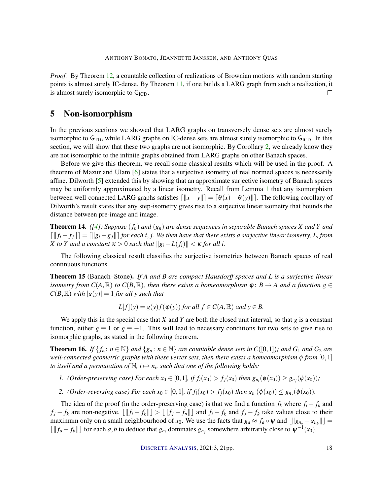<span id="page-17-3"></span>*Proof.* By Theorem [12,](#page-15-0) a countable collection of realizations of Brownian motions with random starting points is almost surely IC-dense. By Theorem [11,](#page-12-0) if one builds a LARG graph from such a realization, it is almost surely isomorphic to G<sub>ICD</sub>.  $\Box$ 

# 5 Non-isomorphism

In the previous sections we showed that LARG graphs on transversely dense sets are almost surely isomorphic to  $G_{TD}$ , while LARG graphs on IC-dense sets are almost surely isomorphic to  $G_{\text{ICD}}$ . In this section, we will show that these two graphs are not isomorphic. By Corollary [2,](#page-3-0) we already know they are not isomorphic to the infinite graphs obtained from LARG graphs on other Banach spaces.

Before we give this theorem, we recall some classical results which will be used in the proof. A theorem of Mazur and Ulam [\[6\]](#page-19-6) states that a surjective isometry of real normed spaces is necessarily affine. Dilworth [\[5\]](#page-19-4) extended this by showing that an approximate surjective isometry of Banach spaces may be uniformly approximated by a linear isometry. Recall from Lemma [1](#page-2-0) that any isomorphism between well-connected LARG graphs satisfies  $\left[||x-y||\right] = [\theta(x) - \theta(y)||]$ . The following corollary of Dilworth's result states that any step-isometry gives rise to a surjective linear isometry that bounds the distance between pre-image and image.

<span id="page-17-1"></span>**Theorem 14.** ([\[4\]](#page-19-2)) Suppose  $(f_n)$  and  $(g_n)$  are dense sequences in separable Banach spaces X and Y and  $\|f\|f_i - f_j\| = \|g_i - g_j\|$  *for each i*, *j.* We then have that there exists a surjective linear isometry, L, from *X* to *Y* and a constant  $\kappa > 0$  such that  $||g_i - L(f_i)|| < \kappa$  for all i.

The following classical result classifies the surjective isometries between Banach spaces of real continuous functions.

<span id="page-17-0"></span>Theorem 15 (Banach–Stone). *If A and B are compact Hausdorff spaces and L is a surjective linear isometry from*  $C(A, \mathbb{R})$  *to*  $C(B, \mathbb{R})$ *, then there exists a homeomorphism*  $\varphi : B \to A$  *and a function*  $g \in$  $C(B,\mathbb{R})$  *with*  $|g(y)| = 1$  *for all y such that* 

$$
L[f](y) = g(y)f(\varphi(y)) \text{ for all } f \in C(A, \mathbb{R}) \text{ and } y \in B.
$$

We apply this in the special case that  $X$  and  $Y$  are both the closed unit interval, so that  $g$  is a constant function, either  $g \equiv 1$  or  $g \equiv -1$ . This will lead to necessary conditions for two sets to give rise to isomorphic graphs, as stated in the following theorem.

<span id="page-17-2"></span>**Theorem 16.** *If*  $\{f_n : n \in \mathbb{N}\}\$  *and*  $\{g_n : n \in \mathbb{N}\}\$  *are countable dense sets in*  $C([0,1])$ *; and*  $G_1$  *and*  $G_2$  *are well-connected geometric graphs with these vertex sets, then there exists a homeomorphism* φ *from* [0,1] to itself and a permutation of  $\mathbb{N}$ ,  $i \mapsto n_i$ , such that one of the following holds:

- *1. (Order-preserving case) For each*  $x_0 \in [0,1]$ *, if*  $f_i(x_0) > f_j(x_0)$  *then*  $g_{n_i}(\phi(x_0)) \ge g_{n_j}(\phi(x_0))$ *;*
- *2. (Order-reversing case) For each*  $x_0 \in [0,1]$ *, if*  $f_i(x_0) > f_j(x_0)$  *then*  $g_{n_i}(\phi(x_0)) \leq g_{n_j}(\phi(x_0))$ *.*

The idea of the proof (in the order-preserving case) is that we find a function  $f_k$  where  $f_i - f_k$  and  $f_j - f_k$  are non-negative,  $\lfloor ||f_i - f_k|| \rfloor > \lfloor ||f_j - f_n|| \rfloor$  and  $f_i - f_k$  and  $f_j - f_k$  take values close to their maximum only on a small neighbourhood of  $x_0$ . We use the facts that  $g_a \approx f_a \circ \psi$  and  $\lfloor ||g_{n_a} - g_{n_b}|| \rfloor =$  $\lfloor ||f_a - f_b|| \rfloor$  for each *a*,*b* to deduce that  $g_{n_i}$  dominates  $g_{n_j}$  somewhere arbitrarily close to  $\psi^{-1}(x_0)$ .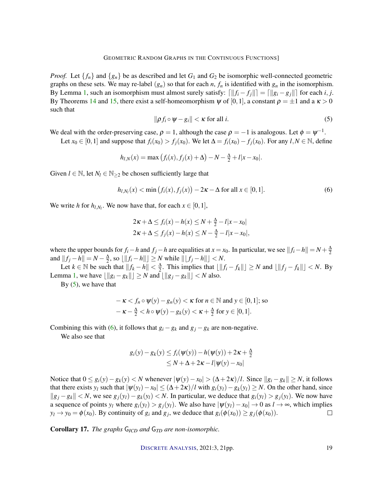*Proof.* Let  $\{f_n\}$  and  $\{g_n\}$  be as described and let  $G_1$  and  $G_2$  be isomorphic well-connected geometric graphs on these sets. We may re-label  $(g_n)$  so that for each *n*,  $f_n$  is identified with  $g_n$  in the isomorphism. By Lemma [1,](#page-2-0) such an isomorphism must almost surely satisfy:  $\left[\|f_i - f_j\|\right] = \left[\|g_i - g_j\|\right]$  for each *i*, *j*. By Theorems [14](#page-17-1) and [15,](#page-17-0) there exist a self-homeomorphism  $\psi$  of [0,1], a constant  $\rho = \pm 1$  and a  $\kappa > 0$ such that

<span id="page-18-1"></span>
$$
\|\rho f_i \circ \psi - g_i\| < \kappa \text{ for all } i. \tag{5}
$$

<span id="page-18-0"></span>We deal with the order-preserving case,  $\rho = 1$ , although the case  $\rho = -1$  is analogous. Let  $\phi = \psi^{-1}$ .

Let  $x_0$  ∈ [0, 1] and suppose that  $f_i(x_0) > f_i(x_0)$ . We let  $\Delta = f_i(x_0) - f_i(x_0)$ . For any  $l, N \in \mathbb{N}$ , define

$$
h_{l,N}(x) = \max (f_i(x), f_j(x) + \Delta) - N - \frac{\Delta}{2} + l|x - x_0|.
$$

Given  $l \in \mathbb{N}$ , let  $N_l \in \mathbb{N}_{\geq 2}$  be chosen sufficiently large that

$$
h_{l,N_l}(x) < \min(f_i(x), f_j(x)) - 2\kappa - \Delta \text{ for all } x \in [0,1].
$$
 (6)

We write *h* for  $h_{l,N_l}$ . We now have that, for each  $x \in [0,1]$ ,

$$
2\kappa + \Delta \le f_i(x) - h(x) \le N + \frac{\Delta}{2} - l|x - x_0|
$$
  

$$
2\kappa + \Delta \le f_j(x) - h(x) \le N - \frac{\Delta}{2} - l|x - x_0|,
$$

where the upper bounds for  $f_i - h$  and  $f_j - h$  are equalities at  $x = x_0$ . In particular, we see  $||f_i - h|| = N + \frac{\Delta}{2}$ and  $||f_j - h|| = N - \frac{\Delta}{2}$ , so  $\lfloor ||f_i - h|| \rfloor \ge N$  while  $\lfloor ||f_j - h|| \rfloor < N$ .

Let  $k \in \mathbb{N}$  be such that  $||f_k - h|| < \frac{\Delta}{2}$ . This implies that  $\lfloor ||f_i - f_k|| \rfloor \ge N$  and  $\lfloor ||f_j - f_k|| \rfloor < N$ . By Lemma [1,](#page-2-0) we have  $\lfloor ||g_i - g_k|| \rfloor$  ≥ *N* and  $\lfloor ||g_j - g_k|| \rfloor$  < *N* also.

By  $(5)$ , we have that

$$
-\kappa < f_n \circ \psi(y) - g_n(y) < \kappa \text{ for } n \in \mathbb{N} \text{ and } y \in [0, 1]; \text{ so}
$$
\n
$$
-\kappa - \frac{\Delta}{2} < h \circ \psi(y) - g_k(y) < \kappa + \frac{\Delta}{2} \text{ for } y \in [0, 1].
$$

Combining this with [\(6\)](#page-18-1), it follows that  $g_i - g_k$  and  $g_j - g_k$  are non-negative.

We also see that

$$
g_i(y) - g_k(y) \le f_i(\psi(y)) - h(\psi(y)) + 2\kappa + \frac{\Delta}{2}
$$
  
 
$$
\le N + \Delta + 2\kappa - l|\psi(y) - x_0|
$$

Notice that  $0 \le g_i(y) - g_k(y) < N$  whenever  $|\psi(y) - x_0| > (\Delta + 2\kappa)/l$ . Since  $||g_i - g_k|| \ge N$ , it follows that there exists  $y_l$  such that  $|\psi(y_l) - x_0| \leq (\Delta + 2\kappa)/l$  with  $g_i(y_l) - g_k(y_l) \geq N$ . On the other hand, since  $||g_i - g_k|| < N$ , we see  $g_i(y_i) - g_k(y_i) < N$ . In particular, we deduce that  $g_i(y_i) > g_i(y_i)$ . We now have a sequence of points  $y_l$  where  $g_i(y_l) > g_j(y_l)$ . We also have  $|\psi(y_l) - x_0| \to 0$  as  $l \to \infty$ , which implies  $y_l \rightarrow y_0 = \phi(x_0)$ . By continuity of *g<sub>i</sub>* and *g<sub>j</sub>*, we deduce that  $g_i(\phi(x_0)) \ge g_j(\phi(x_0))$ .  $\Box$ 

Corollary 17. *The graphs* G*ICD and* G*TD are non-isomorphic.*

DISCRETE A[NALYSIS](http://dx.doi.org/10.19086/da), 2021:3, 21pp. 19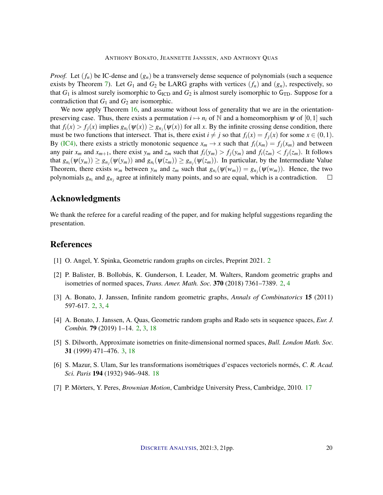*Proof.* Let  $(f_n)$  be IC-dense and  $(g_n)$  be a transversely dense sequence of polynomials (such a sequence exists by Theorem [7\)](#page-8-0). Let  $G_1$  and  $G_2$  be LARG graphs with vertices  $(f_n)$  and  $(g_n)$ , respectively, so that  $G_1$  is almost surely isomorphic to  $G_{\text{ICD}}$  and  $G_2$  is almost surely isomorphic to  $G_{\text{TD}}$ . Suppose for a contradiction that  $G_1$  and  $G_2$  are isomorphic.

We now apply Theorem [16,](#page-17-2) and assume without loss of generality that we are in the orientationpreserving case. Thus, there exists a permutation  $i \mapsto n_i$  of N and a homeomorphism  $\psi$  of [0,1] such that  $f_i(x) > f_j(x)$  implies  $g_{n_i}(\psi(x)) \ge g_{n_j}(\psi(x))$  for all *x*. By the infinite crossing dense condition, there must be two functions that intersect. That is, there exist  $i \neq j$  so that  $f_i(x) = f_i(x)$  for some  $x \in (0,1)$ . By [\(IC4\),](#page-10-0) there exists a strictly monotonic sequence  $x_m \to x$  such that  $f_i(x_m) = f_i(x_m)$  and between any pair  $x_m$  and  $x_{m+1}$ , there exist  $y_m$  and  $z_m$  such that  $f_i(y_m) > f_i(y_m)$  and  $f_i(z_m) < f_i(z_m)$ . It follows that  $g_{n_i}(\psi(y_m)) \ge g_{n_j}(\psi(y_m))$  and  $g_{n_i}(\psi(z_m)) \ge g_{n_j}(\psi(z_m))$ . In particular, by the Intermediate Value Theorem, there exists  $w_m$  between  $y_m$  and  $z_m$  such that  $g_{n_i}(\psi(w_m)) = g_{n_j}(\psi(w_m))$ . Hence, the two polynomials  $g_{n_i}$  and  $g_{n_j}$  agree at infinitely many points, and so are equal, which is a contradiction.  $\Box$ 

# Acknowledgments

We thank the referee for a careful reading of the paper, and for making helpful suggestions regarding the presentation.

# References

- <span id="page-19-3"></span>[1] O. Angel, Y. Spinka, Geometric random graphs on circles, Preprint 2021. [2](#page-1-0)
- <span id="page-19-1"></span>[2] P. Balister, B. Bollobás, K. Gunderson, I. Leader, M. Walters, Random geometric graphs and isometries of normed spaces, *Trans. Amer. Math. Soc.* 370 (2018) 7361–7389. [2,](#page-1-0) [4](#page-3-2)
- <span id="page-19-0"></span>[3] A. Bonato, J. Janssen, Infinite random geometric graphs, *Annals of Combinatorics* 15 (2011) 597-617. [2,](#page-1-0) [3,](#page-2-1) [4](#page-3-2)
- <span id="page-19-2"></span>[4] A. Bonato, J. Janssen, A. Quas, Geometric random graphs and Rado sets in sequence spaces, *Eur. J. Combin.* 79 (2019) 1–14. [2,](#page-1-0) [3,](#page-2-1) [18](#page-17-3)
- <span id="page-19-4"></span>[5] S. Dilworth, Approximate isometries on finite-dimensional normed spaces, *Bull. London Math. Soc.* 31 (1999) 471–476. [3,](#page-2-1) [18](#page-17-3)
- <span id="page-19-6"></span>[6] S. Mazur, S. Ulam, Sur les transformations isométriques d'espaces vectoriels normés, *C. R. Acad. Sci. Paris* 194 (1932) 946–948. [18](#page-17-3)
- <span id="page-19-5"></span>[7] P. Mörters, Y. Peres, *Brownian Motion*, Cambridge University Press, Cambridge, 2010. [17](#page-16-0)